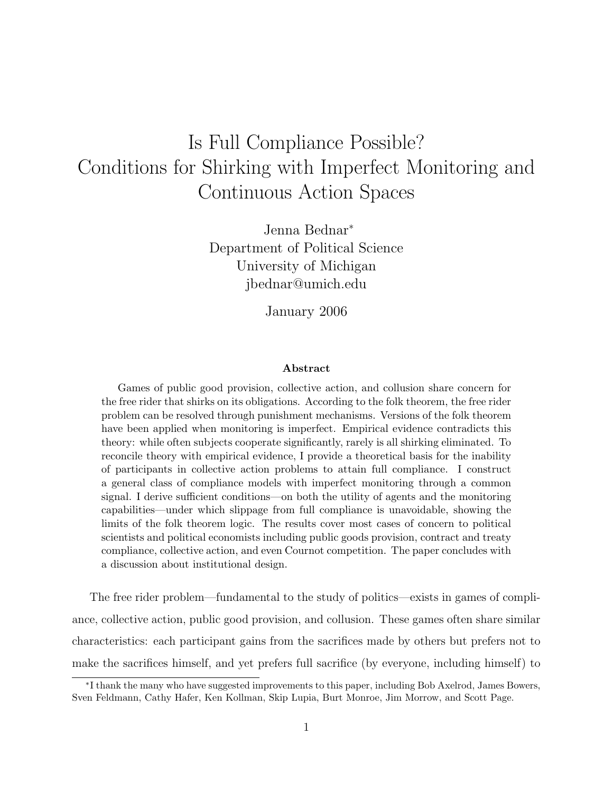# Is Full Compliance Possible? Conditions for Shirking with Imperfect Monitoring and Continuous Action Spaces

Jenna Bednar<sup>∗</sup> Department of Political Science University of Michigan jbednar@umich.edu

January 2006

#### Abstract

Games of public good provision, collective action, and collusion share concern for the free rider that shirks on its obligations. According to the folk theorem, the free rider problem can be resolved through punishment mechanisms. Versions of the folk theorem have been applied when monitoring is imperfect. Empirical evidence contradicts this theory: while often subjects cooperate significantly, rarely is all shirking eliminated. To reconcile theory with empirical evidence, I provide a theoretical basis for the inability of participants in collective action problems to attain full compliance. I construct a general class of compliance models with imperfect monitoring through a common signal. I derive sufficient conditions—on both the utility of agents and the monitoring capabilities—under which slippage from full compliance is unavoidable, showing the limits of the folk theorem logic. The results cover most cases of concern to political scientists and political economists including public goods provision, contract and treaty compliance, collective action, and even Cournot competition. The paper concludes with a discussion about institutional design.

The free rider problem—fundamental to the study of politics—exists in games of compliance, collective action, public good provision, and collusion. These games often share similar characteristics: each participant gains from the sacrifices made by others but prefers not to make the sacrifices himself, and yet prefers full sacrifice (by everyone, including himself) to

<sup>∗</sup> I thank the many who have suggested improvements to this paper, including Bob Axelrod, James Bowers, Sven Feldmann, Cathy Hafer, Ken Kollman, Skip Lupia, Burt Monroe, Jim Morrow, and Scott Page.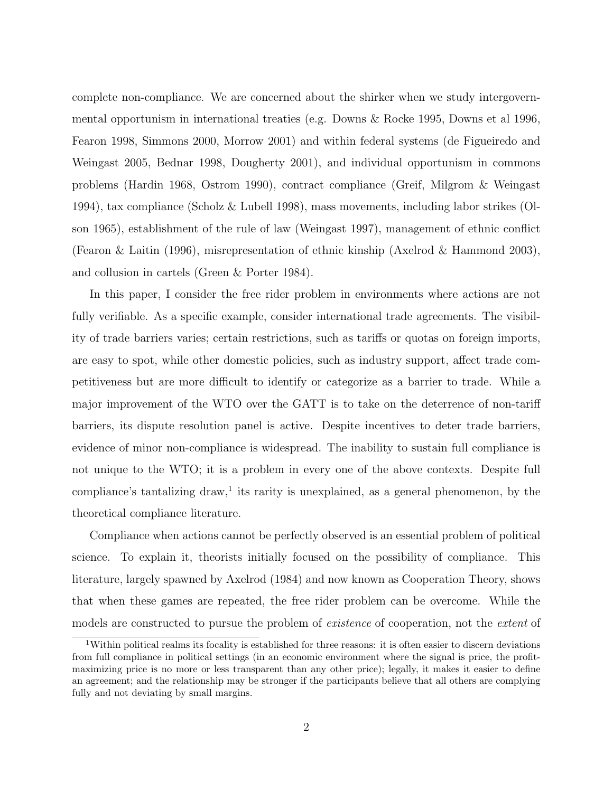complete non-compliance. We are concerned about the shirker when we study intergovernmental opportunism in international treaties (e.g. Downs & Rocke 1995, Downs et al 1996, Fearon 1998, Simmons 2000, Morrow 2001) and within federal systems (de Figueiredo and Weingast 2005, Bednar 1998, Dougherty 2001), and individual opportunism in commons problems (Hardin 1968, Ostrom 1990), contract compliance (Greif, Milgrom & Weingast 1994), tax compliance (Scholz & Lubell 1998), mass movements, including labor strikes (Olson 1965), establishment of the rule of law (Weingast 1997), management of ethnic conflict (Fearon & Laitin (1996), misrepresentation of ethnic kinship (Axelrod & Hammond 2003), and collusion in cartels (Green & Porter 1984).

In this paper, I consider the free rider problem in environments where actions are not fully verifiable. As a specific example, consider international trade agreements. The visibility of trade barriers varies; certain restrictions, such as tariffs or quotas on foreign imports, are easy to spot, while other domestic policies, such as industry support, affect trade competitiveness but are more difficult to identify or categorize as a barrier to trade. While a major improvement of the WTO over the GATT is to take on the deterrence of non-tariff barriers, its dispute resolution panel is active. Despite incentives to deter trade barriers, evidence of minor non-compliance is widespread. The inability to sustain full compliance is not unique to the WTO; it is a problem in every one of the above contexts. Despite full compliance's tantalizing  $d$ raw,<sup>1</sup> its rarity is unexplained, as a general phenomenon, by the theoretical compliance literature.

Compliance when actions cannot be perfectly observed is an essential problem of political science. To explain it, theorists initially focused on the possibility of compliance. This literature, largely spawned by Axelrod (1984) and now known as Cooperation Theory, shows that when these games are repeated, the free rider problem can be overcome. While the models are constructed to pursue the problem of *existence* of cooperation, not the *extent* of

<sup>&</sup>lt;sup>1</sup>Within political realms its focality is established for three reasons: it is often easier to discern deviations from full compliance in political settings (in an economic environment where the signal is price, the profitmaximizing price is no more or less transparent than any other price); legally, it makes it easier to define an agreement; and the relationship may be stronger if the participants believe that all others are complying fully and not deviating by small margins.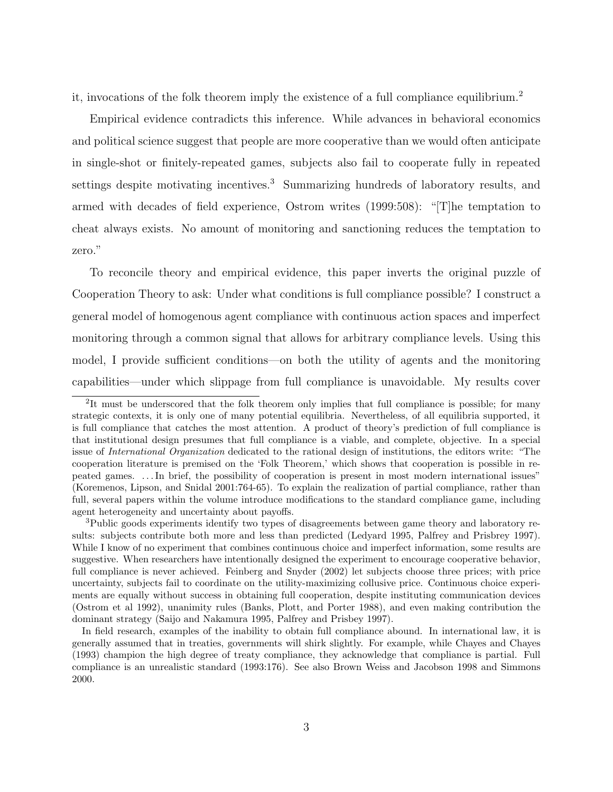it, invocations of the folk theorem imply the existence of a full compliance equilibrium.<sup>2</sup>

Empirical evidence contradicts this inference. While advances in behavioral economics and political science suggest that people are more cooperative than we would often anticipate in single-shot or finitely-repeated games, subjects also fail to cooperate fully in repeated settings despite motivating incentives.<sup>3</sup> Summarizing hundreds of laboratory results, and armed with decades of field experience, Ostrom writes (1999:508): "[T]he temptation to cheat always exists. No amount of monitoring and sanctioning reduces the temptation to zero."

To reconcile theory and empirical evidence, this paper inverts the original puzzle of Cooperation Theory to ask: Under what conditions is full compliance possible? I construct a general model of homogenous agent compliance with continuous action spaces and imperfect monitoring through a common signal that allows for arbitrary compliance levels. Using this model, I provide sufficient conditions—on both the utility of agents and the monitoring capabilities—under which slippage from full compliance is unavoidable. My results cover

<sup>&</sup>lt;sup>2</sup>It must be underscored that the folk theorem only implies that full compliance is possible; for many strategic contexts, it is only one of many potential equilibria. Nevertheless, of all equilibria supported, it is full compliance that catches the most attention. A product of theory's prediction of full compliance is that institutional design presumes that full compliance is a viable, and complete, objective. In a special issue of International Organization dedicated to the rational design of institutions, the editors write: "The cooperation literature is premised on the 'Folk Theorem,' which shows that cooperation is possible in repeated games. . . . In brief, the possibility of cooperation is present in most modern international issues" (Koremenos, Lipson, and Snidal 2001:764-65). To explain the realization of partial compliance, rather than full, several papers within the volume introduce modifications to the standard compliance game, including agent heterogeneity and uncertainty about payoffs.

<sup>&</sup>lt;sup>3</sup>Public goods experiments identify two types of disagreements between game theory and laboratory results: subjects contribute both more and less than predicted (Ledyard 1995, Palfrey and Prisbrey 1997). While I know of no experiment that combines continuous choice and imperfect information, some results are suggestive. When researchers have intentionally designed the experiment to encourage cooperative behavior, full compliance is never achieved. Feinberg and Snyder (2002) let subjects choose three prices; with price uncertainty, subjects fail to coordinate on the utility-maximizing collusive price. Continuous choice experiments are equally without success in obtaining full cooperation, despite instituting communication devices (Ostrom et al 1992), unanimity rules (Banks, Plott, and Porter 1988), and even making contribution the dominant strategy (Saijo and Nakamura 1995, Palfrey and Prisbey 1997).

In field research, examples of the inability to obtain full compliance abound. In international law, it is generally assumed that in treaties, governments will shirk slightly. For example, while Chayes and Chayes (1993) champion the high degree of treaty compliance, they acknowledge that compliance is partial. Full compliance is an unrealistic standard (1993:176). See also Brown Weiss and Jacobson 1998 and Simmons 2000.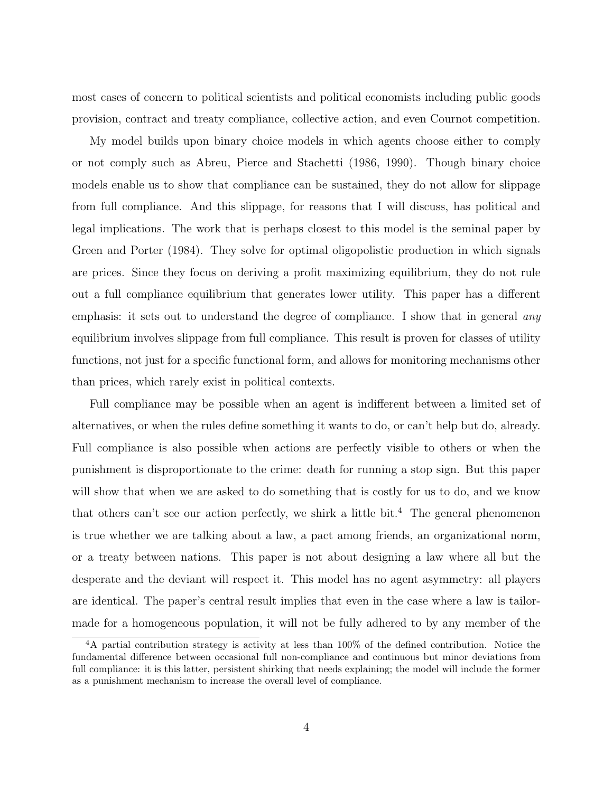most cases of concern to political scientists and political economists including public goods provision, contract and treaty compliance, collective action, and even Cournot competition.

My model builds upon binary choice models in which agents choose either to comply or not comply such as Abreu, Pierce and Stachetti (1986, 1990). Though binary choice models enable us to show that compliance can be sustained, they do not allow for slippage from full compliance. And this slippage, for reasons that I will discuss, has political and legal implications. The work that is perhaps closest to this model is the seminal paper by Green and Porter (1984). They solve for optimal oligopolistic production in which signals are prices. Since they focus on deriving a profit maximizing equilibrium, they do not rule out a full compliance equilibrium that generates lower utility. This paper has a different emphasis: it sets out to understand the degree of compliance. I show that in general *any* equilibrium involves slippage from full compliance. This result is proven for classes of utility functions, not just for a specific functional form, and allows for monitoring mechanisms other than prices, which rarely exist in political contexts.

Full compliance may be possible when an agent is indifferent between a limited set of alternatives, or when the rules define something it wants to do, or can't help but do, already. Full compliance is also possible when actions are perfectly visible to others or when the punishment is disproportionate to the crime: death for running a stop sign. But this paper will show that when we are asked to do something that is costly for us to do, and we know that others can't see our action perfectly, we shirk a little bit.<sup>4</sup> The general phenomenon is true whether we are talking about a law, a pact among friends, an organizational norm, or a treaty between nations. This paper is not about designing a law where all but the desperate and the deviant will respect it. This model has no agent asymmetry: all players are identical. The paper's central result implies that even in the case where a law is tailormade for a homogeneous population, it will not be fully adhered to by any member of the

<sup>4</sup>A partial contribution strategy is activity at less than 100% of the defined contribution. Notice the fundamental difference between occasional full non-compliance and continuous but minor deviations from full compliance: it is this latter, persistent shirking that needs explaining; the model will include the former as a punishment mechanism to increase the overall level of compliance.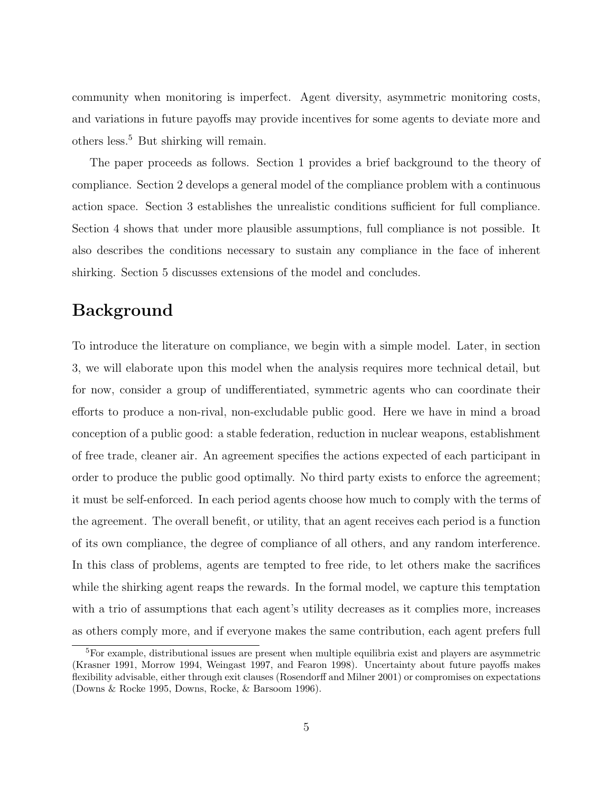community when monitoring is imperfect. Agent diversity, asymmetric monitoring costs, and variations in future payoffs may provide incentives for some agents to deviate more and others less.<sup>5</sup> But shirking will remain.

The paper proceeds as follows. Section 1 provides a brief background to the theory of compliance. Section 2 develops a general model of the compliance problem with a continuous action space. Section 3 establishes the unrealistic conditions sufficient for full compliance. Section 4 shows that under more plausible assumptions, full compliance is not possible. It also describes the conditions necessary to sustain any compliance in the face of inherent shirking. Section 5 discusses extensions of the model and concludes.

# Background

To introduce the literature on compliance, we begin with a simple model. Later, in section 3, we will elaborate upon this model when the analysis requires more technical detail, but for now, consider a group of undifferentiated, symmetric agents who can coordinate their efforts to produce a non-rival, non-excludable public good. Here we have in mind a broad conception of a public good: a stable federation, reduction in nuclear weapons, establishment of free trade, cleaner air. An agreement specifies the actions expected of each participant in order to produce the public good optimally. No third party exists to enforce the agreement; it must be self-enforced. In each period agents choose how much to comply with the terms of the agreement. The overall benefit, or utility, that an agent receives each period is a function of its own compliance, the degree of compliance of all others, and any random interference. In this class of problems, agents are tempted to free ride, to let others make the sacrifices while the shirking agent reaps the rewards. In the formal model, we capture this temptation with a trio of assumptions that each agent's utility decreases as it complies more, increases as others comply more, and if everyone makes the same contribution, each agent prefers full

<sup>5</sup>For example, distributional issues are present when multiple equilibria exist and players are asymmetric (Krasner 1991, Morrow 1994, Weingast 1997, and Fearon 1998). Uncertainty about future payoffs makes flexibility advisable, either through exit clauses (Rosendorff and Milner 2001) or compromises on expectations (Downs & Rocke 1995, Downs, Rocke, & Barsoom 1996).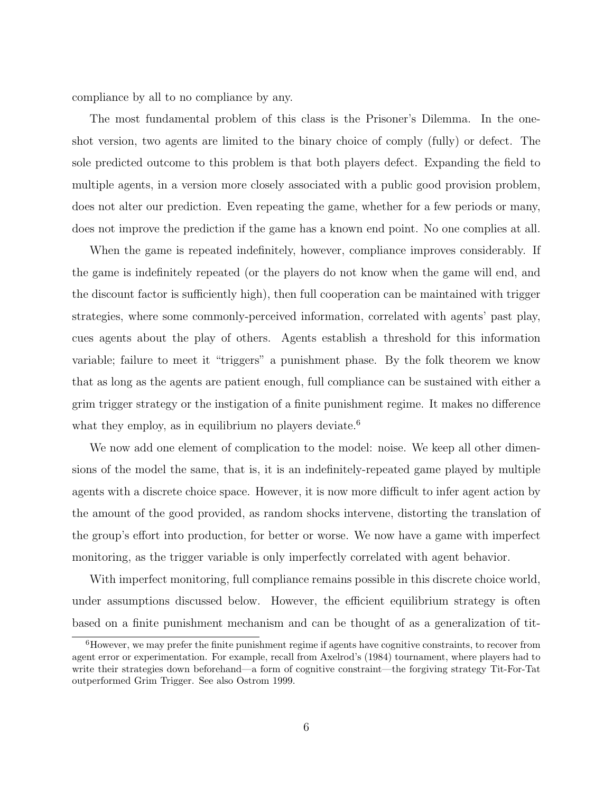compliance by all to no compliance by any.

The most fundamental problem of this class is the Prisoner's Dilemma. In the oneshot version, two agents are limited to the binary choice of comply (fully) or defect. The sole predicted outcome to this problem is that both players defect. Expanding the field to multiple agents, in a version more closely associated with a public good provision problem, does not alter our prediction. Even repeating the game, whether for a few periods or many, does not improve the prediction if the game has a known end point. No one complies at all.

When the game is repeated indefinitely, however, compliance improves considerably. If the game is indefinitely repeated (or the players do not know when the game will end, and the discount factor is sufficiently high), then full cooperation can be maintained with trigger strategies, where some commonly-perceived information, correlated with agents' past play, cues agents about the play of others. Agents establish a threshold for this information variable; failure to meet it "triggers" a punishment phase. By the folk theorem we know that as long as the agents are patient enough, full compliance can be sustained with either a grim trigger strategy or the instigation of a finite punishment regime. It makes no difference what they employ, as in equilibrium no players deviate.<sup>6</sup>

We now add one element of complication to the model: noise. We keep all other dimensions of the model the same, that is, it is an indefinitely-repeated game played by multiple agents with a discrete choice space. However, it is now more difficult to infer agent action by the amount of the good provided, as random shocks intervene, distorting the translation of the group's effort into production, for better or worse. We now have a game with imperfect monitoring, as the trigger variable is only imperfectly correlated with agent behavior.

With imperfect monitoring, full compliance remains possible in this discrete choice world, under assumptions discussed below. However, the efficient equilibrium strategy is often based on a finite punishment mechanism and can be thought of as a generalization of tit-

<sup>&</sup>lt;sup>6</sup>However, we may prefer the finite punishment regime if agents have cognitive constraints, to recover from agent error or experimentation. For example, recall from Axelrod's (1984) tournament, where players had to write their strategies down beforehand—a form of cognitive constraint—the forgiving strategy Tit-For-Tat outperformed Grim Trigger. See also Ostrom 1999.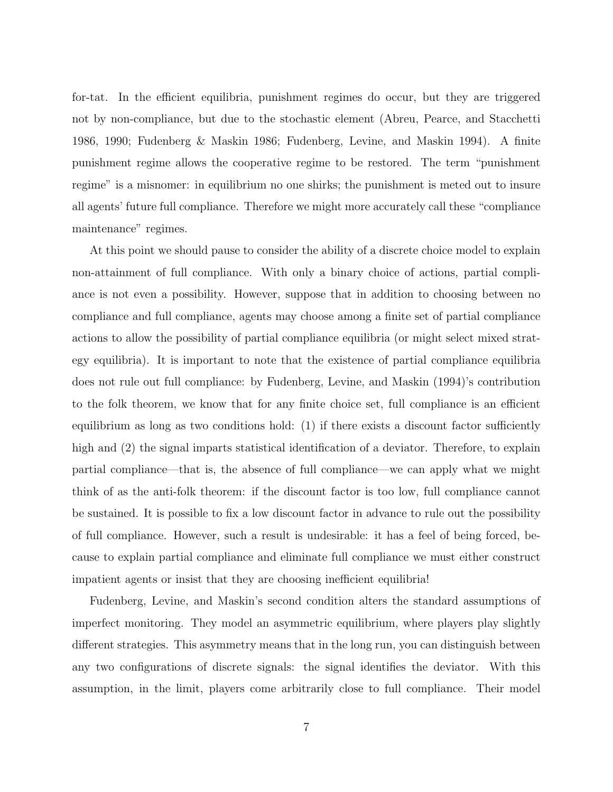for-tat. In the efficient equilibria, punishment regimes do occur, but they are triggered not by non-compliance, but due to the stochastic element (Abreu, Pearce, and Stacchetti 1986, 1990; Fudenberg & Maskin 1986; Fudenberg, Levine, and Maskin 1994). A finite punishment regime allows the cooperative regime to be restored. The term "punishment regime" is a misnomer: in equilibrium no one shirks; the punishment is meted out to insure all agents' future full compliance. Therefore we might more accurately call these "compliance maintenance" regimes.

At this point we should pause to consider the ability of a discrete choice model to explain non-attainment of full compliance. With only a binary choice of actions, partial compliance is not even a possibility. However, suppose that in addition to choosing between no compliance and full compliance, agents may choose among a finite set of partial compliance actions to allow the possibility of partial compliance equilibria (or might select mixed strategy equilibria). It is important to note that the existence of partial compliance equilibria does not rule out full compliance: by Fudenberg, Levine, and Maskin (1994)'s contribution to the folk theorem, we know that for any finite choice set, full compliance is an efficient equilibrium as long as two conditions hold: (1) if there exists a discount factor sufficiently high and (2) the signal imparts statistical identification of a deviator. Therefore, to explain partial compliance—that is, the absence of full compliance—we can apply what we might think of as the anti-folk theorem: if the discount factor is too low, full compliance cannot be sustained. It is possible to fix a low discount factor in advance to rule out the possibility of full compliance. However, such a result is undesirable: it has a feel of being forced, because to explain partial compliance and eliminate full compliance we must either construct impatient agents or insist that they are choosing inefficient equilibria!

Fudenberg, Levine, and Maskin's second condition alters the standard assumptions of imperfect monitoring. They model an asymmetric equilibrium, where players play slightly different strategies. This asymmetry means that in the long run, you can distinguish between any two configurations of discrete signals: the signal identifies the deviator. With this assumption, in the limit, players come arbitrarily close to full compliance. Their model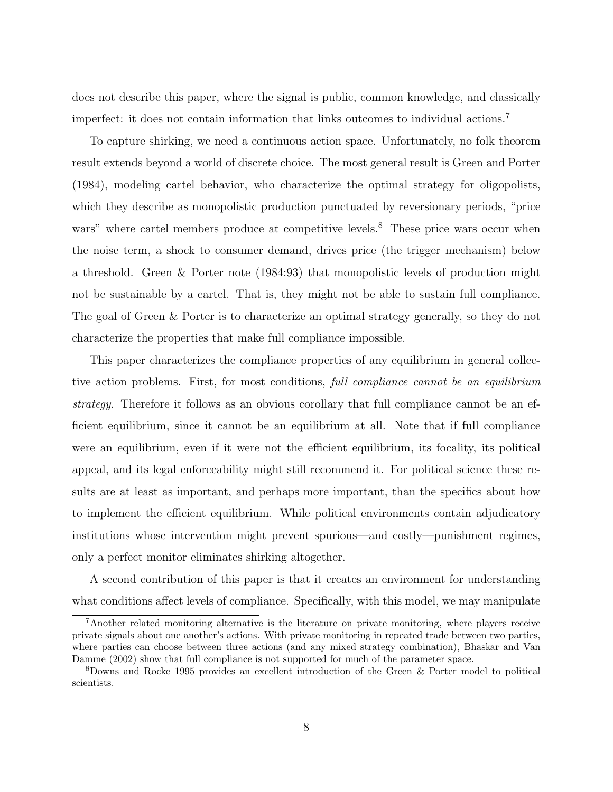does not describe this paper, where the signal is public, common knowledge, and classically imperfect: it does not contain information that links outcomes to individual actions.<sup>7</sup>

To capture shirking, we need a continuous action space. Unfortunately, no folk theorem result extends beyond a world of discrete choice. The most general result is Green and Porter (1984), modeling cartel behavior, who characterize the optimal strategy for oligopolists, which they describe as monopolistic production punctuated by reversionary periods, "price wars" where cartel members produce at competitive levels.<sup>8</sup> These price wars occur when the noise term, a shock to consumer demand, drives price (the trigger mechanism) below a threshold. Green & Porter note (1984:93) that monopolistic levels of production might not be sustainable by a cartel. That is, they might not be able to sustain full compliance. The goal of Green & Porter is to characterize an optimal strategy generally, so they do not characterize the properties that make full compliance impossible.

This paper characterizes the compliance properties of any equilibrium in general collective action problems. First, for most conditions, full compliance cannot be an equilibrium strategy. Therefore it follows as an obvious corollary that full compliance cannot be an efficient equilibrium, since it cannot be an equilibrium at all. Note that if full compliance were an equilibrium, even if it were not the efficient equilibrium, its focality, its political appeal, and its legal enforceability might still recommend it. For political science these results are at least as important, and perhaps more important, than the specifics about how to implement the efficient equilibrium. While political environments contain adjudicatory institutions whose intervention might prevent spurious—and costly—punishment regimes, only a perfect monitor eliminates shirking altogether.

A second contribution of this paper is that it creates an environment for understanding what conditions affect levels of compliance. Specifically, with this model, we may manipulate

<sup>7</sup>Another related monitoring alternative is the literature on private monitoring, where players receive private signals about one another's actions. With private monitoring in repeated trade between two parties, where parties can choose between three actions (and any mixed strategy combination), Bhaskar and Van Damme (2002) show that full compliance is not supported for much of the parameter space.

<sup>8</sup>Downs and Rocke 1995 provides an excellent introduction of the Green & Porter model to political scientists.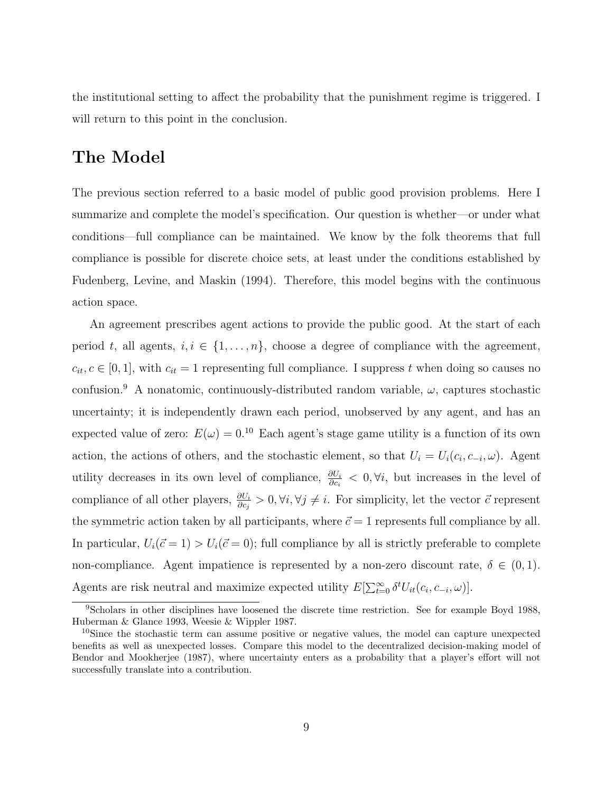the institutional setting to affect the probability that the punishment regime is triggered. I will return to this point in the conclusion.

## The Model

The previous section referred to a basic model of public good provision problems. Here I summarize and complete the model's specification. Our question is whether—or under what conditions—full compliance can be maintained. We know by the folk theorems that full compliance is possible for discrete choice sets, at least under the conditions established by Fudenberg, Levine, and Maskin (1994). Therefore, this model begins with the continuous action space.

An agreement prescribes agent actions to provide the public good. At the start of each period t, all agents,  $i, i \in \{1, ..., n\}$ , choose a degree of compliance with the agreement,  $c_{it}, c \in [0, 1]$ , with  $c_{it} = 1$  representing full compliance. I suppress t when doing so causes no confusion.<sup>9</sup> A nonatomic, continuously-distributed random variable,  $\omega$ , captures stochastic uncertainty; it is independently drawn each period, unobserved by any agent, and has an expected value of zero:  $E(\omega) = 0^{10}$  Each agent's stage game utility is a function of its own action, the actions of others, and the stochastic element, so that  $U_i = U_i(c_i, c_{-i}, \omega)$ . Agent utility decreases in its own level of compliance,  $\frac{\partial U_i}{\partial c_i} < 0$ ,  $\forall i$ , but increases in the level of compliance of all other players,  $\frac{\partial U_i}{\partial c_j} > 0$ ,  $\forall i, \forall j \neq i$ . For simplicity, let the vector  $\vec{c}$  represent the symmetric action taken by all participants, where  $\vec{c} = 1$  represents full compliance by all. In particular,  $U_i(\vec{c} = 1) > U_i(\vec{c} = 0)$ ; full compliance by all is strictly preferable to complete non-compliance. Agent impatience is represented by a non-zero discount rate,  $\delta \in (0,1)$ . Agents are risk neutral and maximize expected utility  $E[\sum_{t=0}^{\infty} \delta^t U_{it}(c_i, c_{-i}, \omega)].$ 

<sup>9</sup>Scholars in other disciplines have loosened the discrete time restriction. See for example Boyd 1988, Huberman & Glance 1993, Weesie & Wippler 1987.

 $10\text{Since the stochastic term can assume positive or negative values, the model can capture unexpected$ benefits as well as unexpected losses. Compare this model to the decentralized decision-making model of Bendor and Mookherjee (1987), where uncertainty enters as a probability that a player's effort will not successfully translate into a contribution.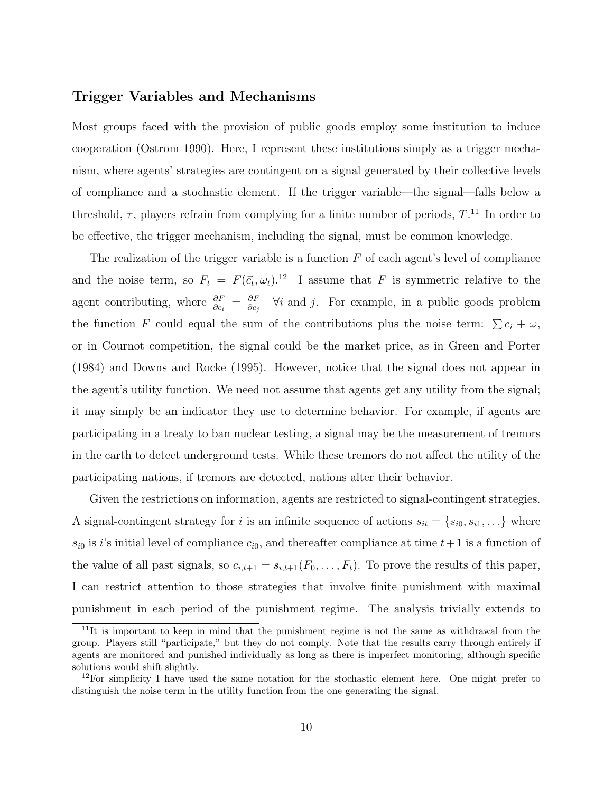#### Trigger Variables and Mechanisms

Most groups faced with the provision of public goods employ some institution to induce cooperation (Ostrom 1990). Here, I represent these institutions simply as a trigger mechanism, where agents' strategies are contingent on a signal generated by their collective levels of compliance and a stochastic element. If the trigger variable—the signal—falls below a threshold,  $\tau$ , players refrain from complying for a finite number of periods,  $T$ <sup>11</sup>. In order to be effective, the trigger mechanism, including the signal, must be common knowledge.

The realization of the trigger variable is a function  $F$  of each agent's level of compliance and the noise term, so  $F_t = F(\vec{c}_t, \omega_t).$ <sup>12</sup> I assume that F is symmetric relative to the agent contributing, where  $\frac{\partial F}{\partial c_i} = \frac{\partial F}{\partial c_j}$  $\frac{\partial F}{\partial c_j}$   $\forall i$  and j. For example, in a public goods problem the function F could equal the sum of the contributions plus the noise term:  $\sum c_i + \omega$ , or in Cournot competition, the signal could be the market price, as in Green and Porter (1984) and Downs and Rocke (1995). However, notice that the signal does not appear in the agent's utility function. We need not assume that agents get any utility from the signal; it may simply be an indicator they use to determine behavior. For example, if agents are participating in a treaty to ban nuclear testing, a signal may be the measurement of tremors in the earth to detect underground tests. While these tremors do not affect the utility of the participating nations, if tremors are detected, nations alter their behavior.

Given the restrictions on information, agents are restricted to signal-contingent strategies. A signal-contingent strategy for i is an infinite sequence of actions  $s_{it} = \{s_{i0}, s_{i1}, \ldots\}$  where  $s_{i0}$  is i's initial level of compliance  $c_{i0}$ , and thereafter compliance at time  $t+1$  is a function of the value of all past signals, so  $c_{i,t+1} = s_{i,t+1}(F_0, \ldots, F_t)$ . To prove the results of this paper, I can restrict attention to those strategies that involve finite punishment with maximal punishment in each period of the punishment regime. The analysis trivially extends to

<sup>&</sup>lt;sup>11</sup>It is important to keep in mind that the punishment regime is not the same as withdrawal from the group. Players still "participate," but they do not comply. Note that the results carry through entirely if agents are monitored and punished individually as long as there is imperfect monitoring, although specific solutions would shift slightly.

 $12$ For simplicity I have used the same notation for the stochastic element here. One might prefer to distinguish the noise term in the utility function from the one generating the signal.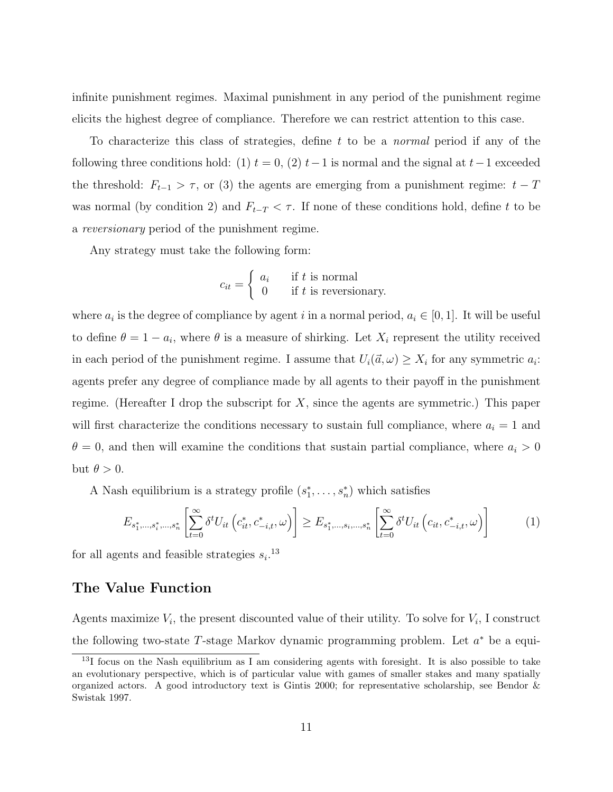infinite punishment regimes. Maximal punishment in any period of the punishment regime elicits the highest degree of compliance. Therefore we can restrict attention to this case.

To characterize this class of strategies, define t to be a normal period if any of the following three conditions hold: (1)  $t = 0$ , (2)  $t - 1$  is normal and the signal at  $t - 1$  exceeded the threshold:  $F_{t-1} > \tau$ , or (3) the agents are emerging from a punishment regime:  $t - T$ was normal (by condition 2) and  $F_{t-T} < \tau$ . If none of these conditions hold, define t to be a *reversionary* period of the punishment regime.

Any strategy must take the following form:

$$
c_{it} = \begin{cases} a_i & \text{if } t \text{ is normal} \\ 0 & \text{if } t \text{ is reversionary.} \end{cases}
$$

where  $a_i$  is the degree of compliance by agent i in a normal period,  $a_i \in [0,1]$ . It will be useful to define  $\theta = 1 - a_i$ , where  $\theta$  is a measure of shirking. Let  $X_i$  represent the utility received in each period of the punishment regime. I assume that  $U_i(\vec{a}, \omega) \ge X_i$  for any symmetric  $a_i$ : agents prefer any degree of compliance made by all agents to their payoff in the punishment regime. (Hereafter I drop the subscript for  $X$ , since the agents are symmetric.) This paper will first characterize the conditions necessary to sustain full compliance, where  $a_i = 1$  and  $\theta = 0$ , and then will examine the conditions that sustain partial compliance, where  $a_i > 0$ but  $\theta > 0$ .

A Nash equilibrium is a strategy profile  $(s_1^*, \ldots, s_n^*)$  which satisfies

$$
E_{s_1^*,...,s_i^*,...,s_n^*} \left[ \sum_{t=0}^{\infty} \delta^t U_{it} \left( c_{it}^*, c_{-i,t}^*, \omega \right) \right] \ge E_{s_1^*,...,s_i,...,s_n^*} \left[ \sum_{t=0}^{\infty} \delta^t U_{it} \left( c_{it}, c_{-i,t}^*, \omega \right) \right]
$$
(1)

for all agents and feasible strategies  $s_i$ <sup>13</sup>

#### The Value Function

Agents maximize  $V_i$ , the present discounted value of their utility. To solve for  $V_i$ , I construct the following two-state T-stage Markov dynamic programming problem. Let  $a^*$  be a equi-

 $13I$  focus on the Nash equilibrium as I am considering agents with foresight. It is also possible to take an evolutionary perspective, which is of particular value with games of smaller stakes and many spatially organized actors. A good introductory text is Gintis 2000; for representative scholarship, see Bendor & Swistak 1997.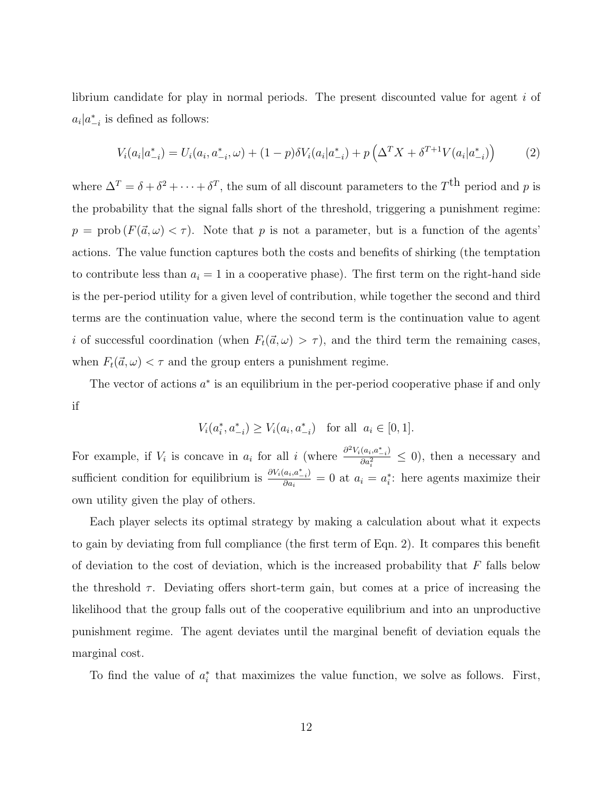librium candidate for play in normal periods. The present discounted value for agent i of  $a_i|a_{-i}^*$  is defined as follows:

$$
V_i(a_i|a_{-i}^*) = U_i(a_i, a_{-i}^*, \omega) + (1-p)\delta V_i(a_i|a_{-i}^*) + p\left(\Delta^T X + \delta^{T+1} V(a_i|a_{-i}^*)\right) \tag{2}
$$

where  $\Delta^T = \delta + \delta^2 + \cdots + \delta^T$ , the sum of all discount parameters to the  $T<sup>th</sup>$  period and p is the probability that the signal falls short of the threshold, triggering a punishment regime:  $p = \text{prob}(F(\vec{a}, \omega) < \tau)$ . Note that p is not a parameter, but is a function of the agents' actions. The value function captures both the costs and benefits of shirking (the temptation to contribute less than  $a_i = 1$  in a cooperative phase). The first term on the right-hand side is the per-period utility for a given level of contribution, while together the second and third terms are the continuation value, where the second term is the continuation value to agent i of successful coordination (when  $F_t(\vec{a}, \omega) > \tau$ ), and the third term the remaining cases, when  $F_t(\vec{a}, \omega) < \tau$  and the group enters a punishment regime.

The vector of actions  $a^*$  is an equilibrium in the per-period cooperative phase if and only if

$$
V_i(a_i^*, a_{-i}^*) \ge V_i(a_i, a_{-i}^*) \quad \text{for all } a_i \in [0, 1].
$$

For example, if  $V_i$  is concave in  $a_i$  for all i (where  $\frac{\partial^2 V_i(a_i, a_{-i}^*)}{\partial a_i^2}$  $\frac{(u_i, u_{-i})}{\partial a_i^2} \leq 0$ , then a necessary and sufficient condition for equilibrium is  $\frac{\partial V_i(a_i, a_{-i}^*)}{\partial a_i}$  $\frac{a_i, a_{i}^*}{\partial a_i} = 0$  at  $a_i = a_i^*$ : here agents maximize their own utility given the play of others.

Each player selects its optimal strategy by making a calculation about what it expects to gain by deviating from full compliance (the first term of Eqn. 2). It compares this benefit of deviation to the cost of deviation, which is the increased probability that  $F$  falls below the threshold  $\tau$ . Deviating offers short-term gain, but comes at a price of increasing the likelihood that the group falls out of the cooperative equilibrium and into an unproductive punishment regime. The agent deviates until the marginal benefit of deviation equals the marginal cost.

To find the value of  $a_i^*$  that maximizes the value function, we solve as follows. First,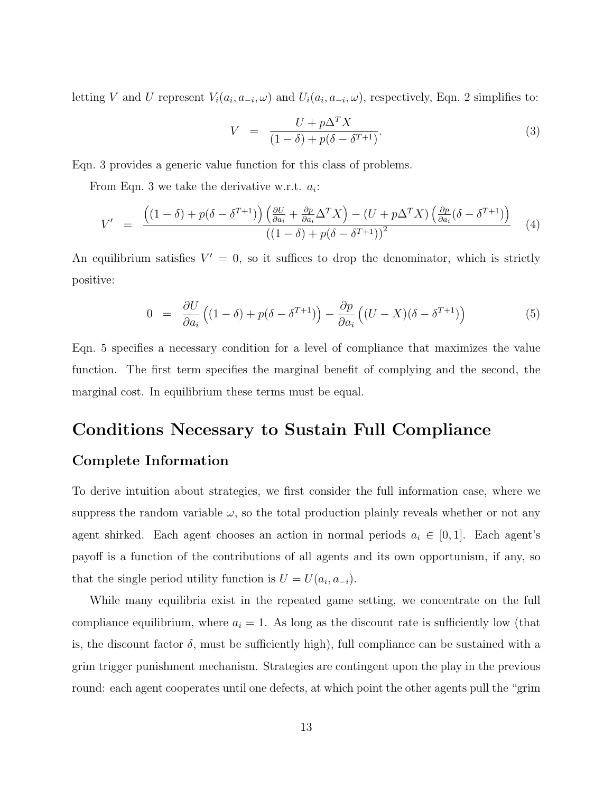letting V and U represent  $V_i(a_i, a_{-i}, \omega)$  and  $U_i(a_i, a_{-i}, \omega)$ , respectively, Eqn. 2 simplifies to:

$$
V = \frac{U + p\Delta^T X}{(1 - \delta) + p(\delta - \delta^{T+1})}.
$$
\n(3)

Eqn. 3 provides a generic value function for this class of problems.

From Eqn. 3 we take the derivative w.r.t.  $a_i$ :

$$
V' = \frac{((1 - \delta) + p(\delta - \delta^{T+1})) (\frac{\partial U}{\partial a_i} + \frac{\partial p}{\partial a_i} \Delta^T X) - (U + p\Delta^T X) (\frac{\partial p}{\partial a_i} (\delta - \delta^{T+1}))}{((1 - \delta) + p(\delta - \delta^{T+1}))^2}
$$
(4)

An equilibrium satisfies  $V' = 0$ , so it suffices to drop the denominator, which is strictly positive:

$$
0 = \frac{\partial U}{\partial a_i} \left( (1 - \delta) + p(\delta - \delta^{T+1}) \right) - \frac{\partial p}{\partial a_i} \left( (U - X)(\delta - \delta^{T+1}) \right) \tag{5}
$$

Eqn. 5 specifies a necessary condition for a level of compliance that maximizes the value function. The first term specifies the marginal benefit of complying and the second, the marginal cost. In equilibrium these terms must be equal.

### Conditions Necessary to Sustain Full Compliance

### Complete Information

To derive intuition about strategies, we first consider the full information case, where we suppress the random variable  $\omega$ , so the total production plainly reveals whether or not any agent shirked. Each agent chooses an action in normal periods  $a_i \in [0,1]$ . Each agent's payoff is a function of the contributions of all agents and its own opportunism, if any, so that the single period utility function is  $U = U(a_i, a_{-i}).$ 

While many equilibria exist in the repeated game setting, we concentrate on the full compliance equilibrium, where  $a_i = 1$ . As long as the discount rate is sufficiently low (that is, the discount factor  $\delta$ , must be sufficiently high), full compliance can be sustained with a grim trigger punishment mechanism. Strategies are contingent upon the play in the previous round: each agent cooperates until one defects, at which point the other agents pull the "grim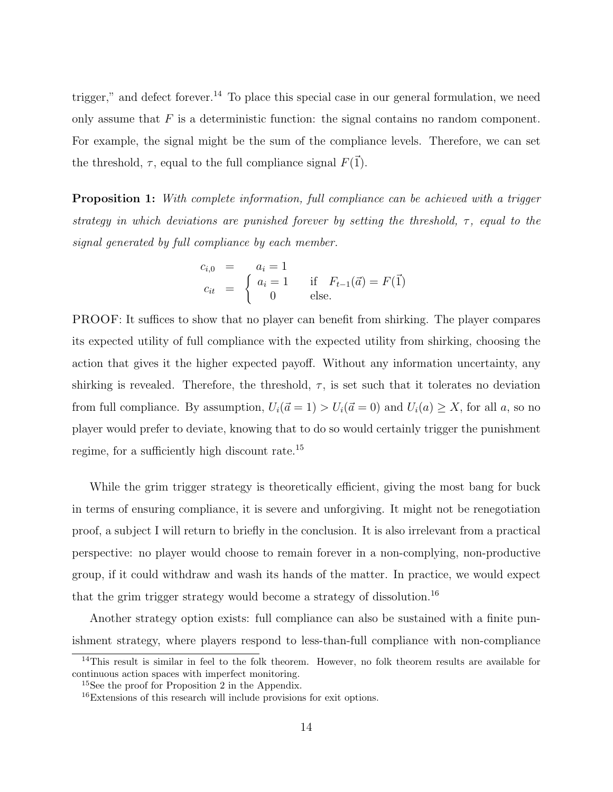trigger," and defect forever.<sup>14</sup> To place this special case in our general formulation, we need only assume that  $F$  is a deterministic function: the signal contains no random component. For example, the signal might be the sum of the compliance levels. Therefore, we can set the threshold,  $\tau$ , equal to the full compliance signal  $F(1)$ .

Proposition 1: With complete information, full compliance can be achieved with a trigger strategy in which deviations are punished forever by setting the threshold,  $\tau$ , equal to the signal generated by full compliance by each member.

$$
c_{i,0} = a_i = 1\nc_{it} = \begin{cases} a_i = 1 & \text{if } F_{t-1}(\vec{a}) = F(\vec{1})\\ 0 & \text{else.} \end{cases}
$$

PROOF: It suffices to show that no player can benefit from shirking. The player compares its expected utility of full compliance with the expected utility from shirking, choosing the action that gives it the higher expected payoff. Without any information uncertainty, any shirking is revealed. Therefore, the threshold,  $\tau$ , is set such that it tolerates no deviation from full compliance. By assumption,  $U_i(\vec{a} = 1) > U_i(\vec{a} = 0)$  and  $U_i(a) \ge X$ , for all a, so no player would prefer to deviate, knowing that to do so would certainly trigger the punishment regime, for a sufficiently high discount rate.<sup>15</sup>

While the grim trigger strategy is theoretically efficient, giving the most bang for buck in terms of ensuring compliance, it is severe and unforgiving. It might not be renegotiation proof, a subject I will return to briefly in the conclusion. It is also irrelevant from a practical perspective: no player would choose to remain forever in a non-complying, non-productive group, if it could withdraw and wash its hands of the matter. In practice, we would expect that the grim trigger strategy would become a strategy of dissolution.<sup>16</sup>

Another strategy option exists: full compliance can also be sustained with a finite punishment strategy, where players respond to less-than-full compliance with non-compliance

<sup>&</sup>lt;sup>14</sup>This result is similar in feel to the folk theorem. However, no folk theorem results are available for continuous action spaces with imperfect monitoring.

<sup>&</sup>lt;sup>15</sup>See the proof for Proposition 2 in the Appendix.

<sup>16</sup>Extensions of this research will include provisions for exit options.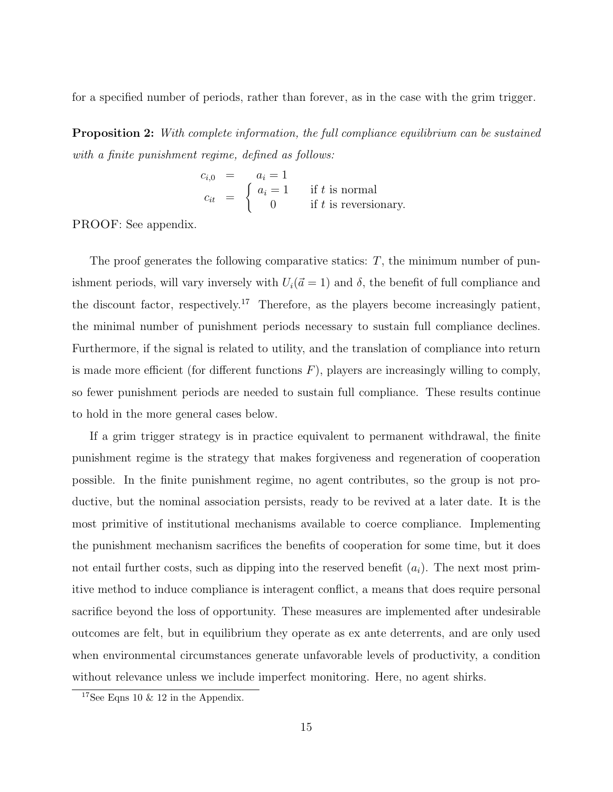for a specified number of periods, rather than forever, as in the case with the grim trigger.

**Proposition 2:** With complete information, the full compliance equilibrium can be sustained with a finite punishment regime, defined as follows:

$$
c_{i,0} = a_i = 1
$$
  
\n
$$
c_{it} = \begin{cases} a_i = 1 & \text{if } t \text{ is normal} \\ 0 & \text{if } t \text{ is reversionary.} \end{cases}
$$

PROOF: See appendix.

The proof generates the following comparative statics:  $T$ , the minimum number of punishment periods, will vary inversely with  $U_i(\vec{a} = 1)$  and  $\delta$ , the benefit of full compliance and the discount factor, respectively.<sup>17</sup> Therefore, as the players become increasingly patient, the minimal number of punishment periods necessary to sustain full compliance declines. Furthermore, if the signal is related to utility, and the translation of compliance into return is made more efficient (for different functions  $F$ ), players are increasingly willing to comply, so fewer punishment periods are needed to sustain full compliance. These results continue to hold in the more general cases below.

If a grim trigger strategy is in practice equivalent to permanent withdrawal, the finite punishment regime is the strategy that makes forgiveness and regeneration of cooperation possible. In the finite punishment regime, no agent contributes, so the group is not productive, but the nominal association persists, ready to be revived at a later date. It is the most primitive of institutional mechanisms available to coerce compliance. Implementing the punishment mechanism sacrifices the benefits of cooperation for some time, but it does not entail further costs, such as dipping into the reserved benefit  $(a_i)$ . The next most primitive method to induce compliance is interagent conflict, a means that does require personal sacrifice beyond the loss of opportunity. These measures are implemented after undesirable outcomes are felt, but in equilibrium they operate as ex ante deterrents, and are only used when environmental circumstances generate unfavorable levels of productivity, a condition without relevance unless we include imperfect monitoring. Here, no agent shirks.

<sup>&</sup>lt;sup>17</sup>See Eqns 10 & 12 in the Appendix.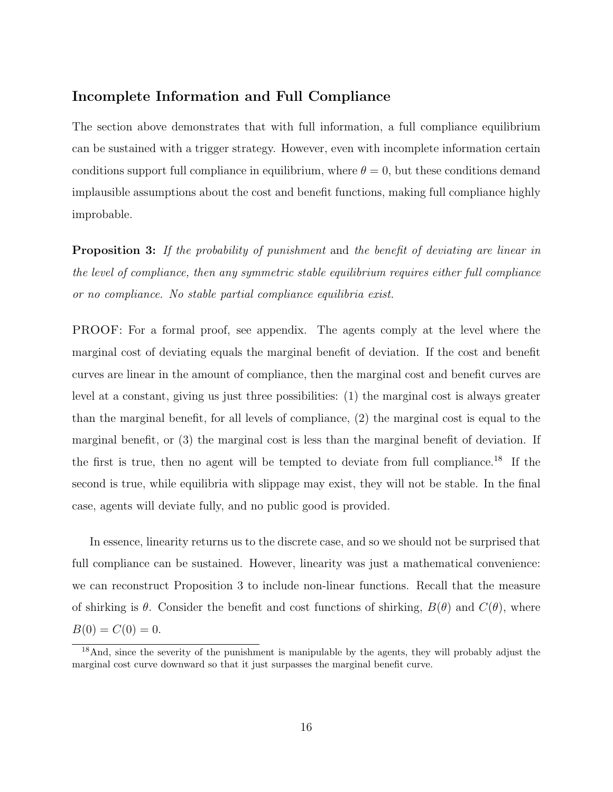#### Incomplete Information and Full Compliance

The section above demonstrates that with full information, a full compliance equilibrium can be sustained with a trigger strategy. However, even with incomplete information certain conditions support full compliance in equilibrium, where  $\theta = 0$ , but these conditions demand implausible assumptions about the cost and benefit functions, making full compliance highly improbable.

**Proposition 3:** If the probability of punishment and the benefit of deviating are linear in the level of compliance, then any symmetric stable equilibrium requires either full compliance or no compliance. No stable partial compliance equilibria exist.

PROOF: For a formal proof, see appendix. The agents comply at the level where the marginal cost of deviating equals the marginal benefit of deviation. If the cost and benefit curves are linear in the amount of compliance, then the marginal cost and benefit curves are level at a constant, giving us just three possibilities: (1) the marginal cost is always greater than the marginal benefit, for all levels of compliance, (2) the marginal cost is equal to the marginal benefit, or (3) the marginal cost is less than the marginal benefit of deviation. If the first is true, then no agent will be tempted to deviate from full compliance.<sup>18</sup> If the second is true, while equilibria with slippage may exist, they will not be stable. In the final case, agents will deviate fully, and no public good is provided.

In essence, linearity returns us to the discrete case, and so we should not be surprised that full compliance can be sustained. However, linearity was just a mathematical convenience: we can reconstruct Proposition 3 to include non-linear functions. Recall that the measure of shirking is  $\theta$ . Consider the benefit and cost functions of shirking,  $B(\theta)$  and  $C(\theta)$ , where  $B(0) = C(0) = 0.$ 

<sup>&</sup>lt;sup>18</sup>And, since the severity of the punishment is manipulable by the agents, they will probably adjust the marginal cost curve downward so that it just surpasses the marginal benefit curve.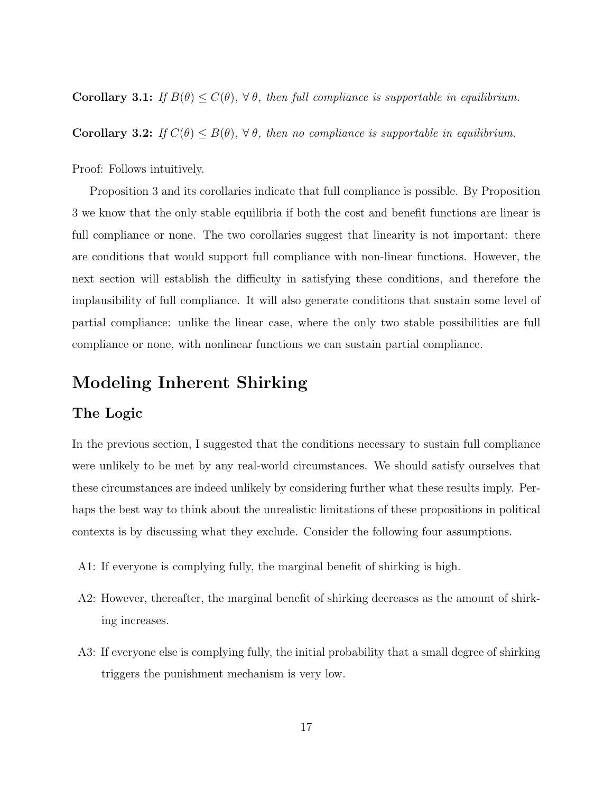Corollary 3.1: If  $B(\theta) \leq C(\theta)$ ,  $\forall \theta$ , then full compliance is supportable in equilibrium.

Corollary 3.2: If  $C(\theta) \leq B(\theta)$ ,  $\forall \theta$ , then no compliance is supportable in equilibrium.

Proof: Follows intuitively.

Proposition 3 and its corollaries indicate that full compliance is possible. By Proposition 3 we know that the only stable equilibria if both the cost and benefit functions are linear is full compliance or none. The two corollaries suggest that linearity is not important: there are conditions that would support full compliance with non-linear functions. However, the next section will establish the difficulty in satisfying these conditions, and therefore the implausibility of full compliance. It will also generate conditions that sustain some level of partial compliance: unlike the linear case, where the only two stable possibilities are full compliance or none, with nonlinear functions we can sustain partial compliance.

### Modeling Inherent Shirking

#### The Logic

In the previous section, I suggested that the conditions necessary to sustain full compliance were unlikely to be met by any real-world circumstances. We should satisfy ourselves that these circumstances are indeed unlikely by considering further what these results imply. Perhaps the best way to think about the unrealistic limitations of these propositions in political contexts is by discussing what they exclude. Consider the following four assumptions.

- A1: If everyone is complying fully, the marginal benefit of shirking is high.
- A2: However, thereafter, the marginal benefit of shirking decreases as the amount of shirking increases.
- A3: If everyone else is complying fully, the initial probability that a small degree of shirking triggers the punishment mechanism is very low.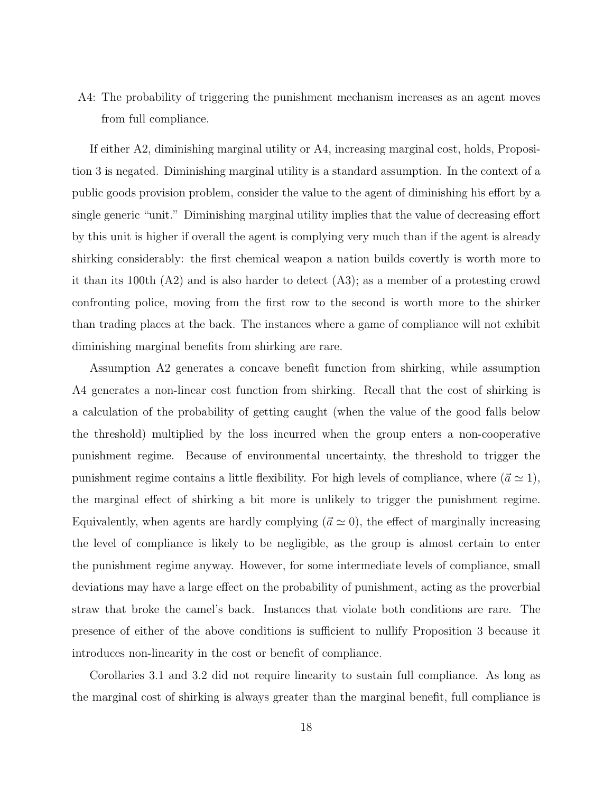A4: The probability of triggering the punishment mechanism increases as an agent moves from full compliance.

If either A2, diminishing marginal utility or A4, increasing marginal cost, holds, Proposition 3 is negated. Diminishing marginal utility is a standard assumption. In the context of a public goods provision problem, consider the value to the agent of diminishing his effort by a single generic "unit." Diminishing marginal utility implies that the value of decreasing effort by this unit is higher if overall the agent is complying very much than if the agent is already shirking considerably: the first chemical weapon a nation builds covertly is worth more to it than its 100th (A2) and is also harder to detect (A3); as a member of a protesting crowd confronting police, moving from the first row to the second is worth more to the shirker than trading places at the back. The instances where a game of compliance will not exhibit diminishing marginal benefits from shirking are rare.

Assumption A2 generates a concave benefit function from shirking, while assumption A4 generates a non-linear cost function from shirking. Recall that the cost of shirking is a calculation of the probability of getting caught (when the value of the good falls below the threshold) multiplied by the loss incurred when the group enters a non-cooperative punishment regime. Because of environmental uncertainty, the threshold to trigger the punishment regime contains a little flexibility. For high levels of compliance, where  $(\vec{a} \simeq 1)$ , the marginal effect of shirking a bit more is unlikely to trigger the punishment regime. Equivalently, when agents are hardly complying ( $\vec{a} \simeq 0$ ), the effect of marginally increasing the level of compliance is likely to be negligible, as the group is almost certain to enter the punishment regime anyway. However, for some intermediate levels of compliance, small deviations may have a large effect on the probability of punishment, acting as the proverbial straw that broke the camel's back. Instances that violate both conditions are rare. The presence of either of the above conditions is sufficient to nullify Proposition 3 because it introduces non-linearity in the cost or benefit of compliance.

Corollaries 3.1 and 3.2 did not require linearity to sustain full compliance. As long as the marginal cost of shirking is always greater than the marginal benefit, full compliance is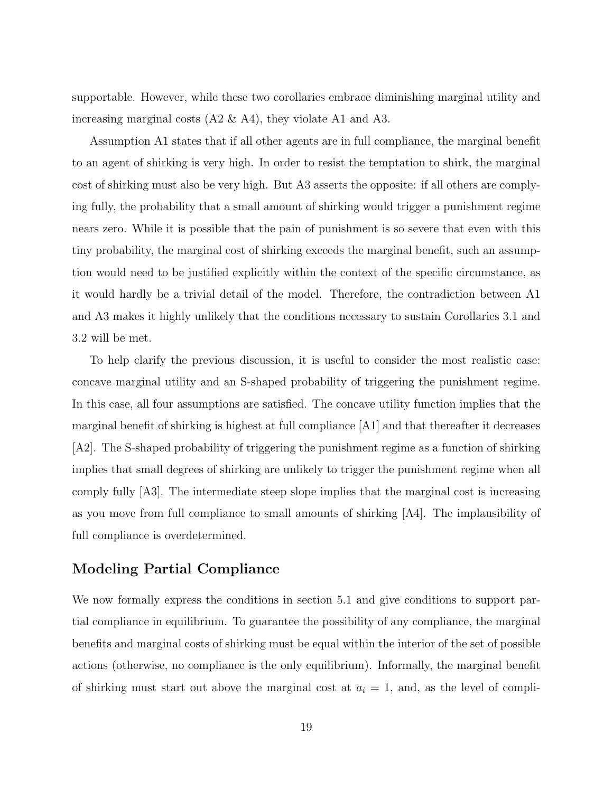supportable. However, while these two corollaries embrace diminishing marginal utility and increasing marginal costs (A2 & A4), they violate A1 and A3.

Assumption A1 states that if all other agents are in full compliance, the marginal benefit to an agent of shirking is very high. In order to resist the temptation to shirk, the marginal cost of shirking must also be very high. But A3 asserts the opposite: if all others are complying fully, the probability that a small amount of shirking would trigger a punishment regime nears zero. While it is possible that the pain of punishment is so severe that even with this tiny probability, the marginal cost of shirking exceeds the marginal benefit, such an assumption would need to be justified explicitly within the context of the specific circumstance, as it would hardly be a trivial detail of the model. Therefore, the contradiction between A1 and A3 makes it highly unlikely that the conditions necessary to sustain Corollaries 3.1 and 3.2 will be met.

To help clarify the previous discussion, it is useful to consider the most realistic case: concave marginal utility and an S-shaped probability of triggering the punishment regime. In this case, all four assumptions are satisfied. The concave utility function implies that the marginal benefit of shirking is highest at full compliance [A1] and that thereafter it decreases [A2]. The S-shaped probability of triggering the punishment regime as a function of shirking implies that small degrees of shirking are unlikely to trigger the punishment regime when all comply fully [A3]. The intermediate steep slope implies that the marginal cost is increasing as you move from full compliance to small amounts of shirking [A4]. The implausibility of full compliance is overdetermined.

#### Modeling Partial Compliance

We now formally express the conditions in section 5.1 and give conditions to support partial compliance in equilibrium. To guarantee the possibility of any compliance, the marginal benefits and marginal costs of shirking must be equal within the interior of the set of possible actions (otherwise, no compliance is the only equilibrium). Informally, the marginal benefit of shirking must start out above the marginal cost at  $a_i = 1$ , and, as the level of compli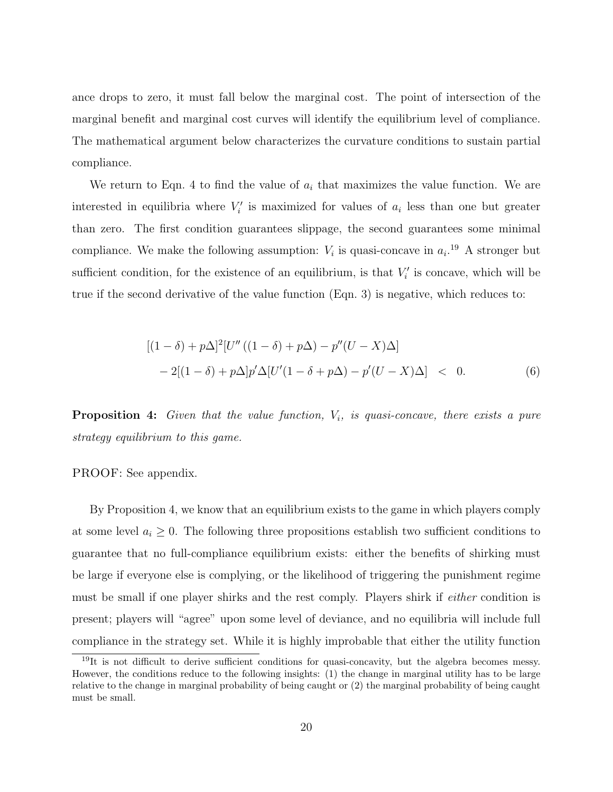ance drops to zero, it must fall below the marginal cost. The point of intersection of the marginal benefit and marginal cost curves will identify the equilibrium level of compliance. The mathematical argument below characterizes the curvature conditions to sustain partial compliance.

We return to Eqn. 4 to find the value of  $a_i$  that maximizes the value function. We are interested in equilibria where  $V_i'$  is maximized for values of  $a_i$  less than one but greater than zero. The first condition guarantees slippage, the second guarantees some minimal compliance. We make the following assumption:  $V_i$  is quasi-concave in  $a_i$ <sup>19</sup> A stronger but sufficient condition, for the existence of an equilibrium, is that  $V_i'$  is concave, which will be true if the second derivative of the value function (Eqn. 3) is negative, which reduces to:

$$
[(1 - \delta) + p\Delta]^2 [U''((1 - \delta) + p\Delta) - p''(U - X)\Delta] - 2[(1 - \delta) + p\Delta]p'\Delta[U'(1 - \delta + p\Delta) - p'(U - X)\Delta] < 0.
$$
 (6)

**Proposition 4:** Given that the value function,  $V_i$ , is quasi-concave, there exists a pure strategy equilibrium to this game.

#### PROOF: See appendix.

By Proposition 4, we know that an equilibrium exists to the game in which players comply at some level  $a_i \geq 0$ . The following three propositions establish two sufficient conditions to guarantee that no full-compliance equilibrium exists: either the benefits of shirking must be large if everyone else is complying, or the likelihood of triggering the punishment regime must be small if one player shirks and the rest comply. Players shirk if either condition is present; players will "agree" upon some level of deviance, and no equilibria will include full compliance in the strategy set. While it is highly improbable that either the utility function

 $19$ It is not difficult to derive sufficient conditions for quasi-concavity, but the algebra becomes messy. However, the conditions reduce to the following insights: (1) the change in marginal utility has to be large relative to the change in marginal probability of being caught or (2) the marginal probability of being caught must be small.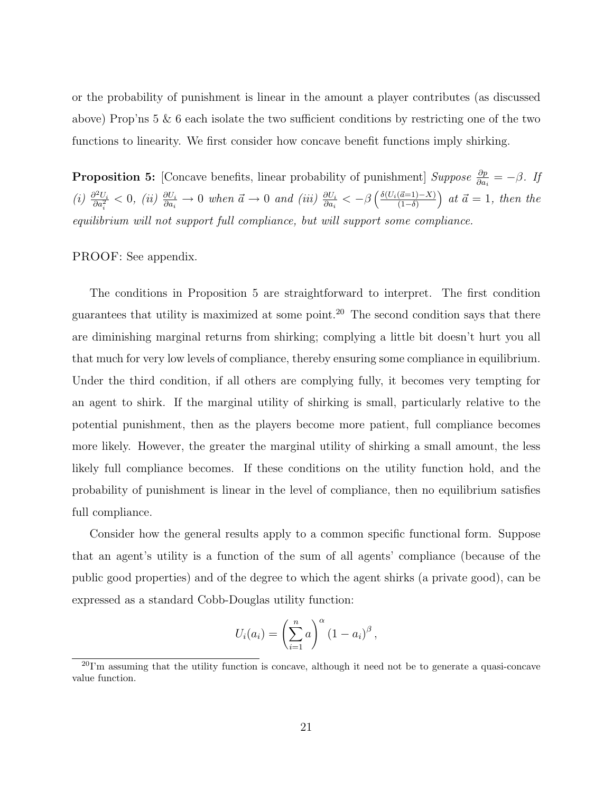or the probability of punishment is linear in the amount a player contributes (as discussed above) Prop'ns 5 & 6 each isolate the two sufficient conditions by restricting one of the two functions to linearity. We first consider how concave benefit functions imply shirking.

**Proposition 5:** [Concave benefits, linear probability of punishment]  $Suppose \frac{\partial p}{\partial a_i} = -\beta$ . If  $(i) \frac{\partial^2 U_i}{\partial a^2}$  $\frac{\partial^2 U_i}{\partial a_i^2}$  < 0, (ii)  $\frac{\partial U_i}{\partial a_i} \to 0$  when  $\vec{a} \to 0$  and (iii)  $\frac{\partial U_i}{\partial a_i} < -\beta \left( \frac{\delta (U_i(\vec{a}=1)-X)}{(1-\delta)} \right)$  $(1-\delta)$ ) at  $\vec{a} = 1$ , then the equilibrium will not support full compliance, but will support some compliance.

#### PROOF: See appendix.

The conditions in Proposition 5 are straightforward to interpret. The first condition guarantees that utility is maximized at some point.<sup>20</sup> The second condition says that there are diminishing marginal returns from shirking; complying a little bit doesn't hurt you all that much for very low levels of compliance, thereby ensuring some compliance in equilibrium. Under the third condition, if all others are complying fully, it becomes very tempting for an agent to shirk. If the marginal utility of shirking is small, particularly relative to the potential punishment, then as the players become more patient, full compliance becomes more likely. However, the greater the marginal utility of shirking a small amount, the less likely full compliance becomes. If these conditions on the utility function hold, and the probability of punishment is linear in the level of compliance, then no equilibrium satisfies full compliance.

Consider how the general results apply to a common specific functional form. Suppose that an agent's utility is a function of the sum of all agents' compliance (because of the public good properties) and of the degree to which the agent shirks (a private good), can be expressed as a standard Cobb-Douglas utility function:

$$
U_i(a_i) = \left(\sum_{i=1}^n a\right)^{\alpha} (1-a_i)^{\beta},
$$

 $^{20}$ I'm assuming that the utility function is concave, although it need not be to generate a quasi-concave value function.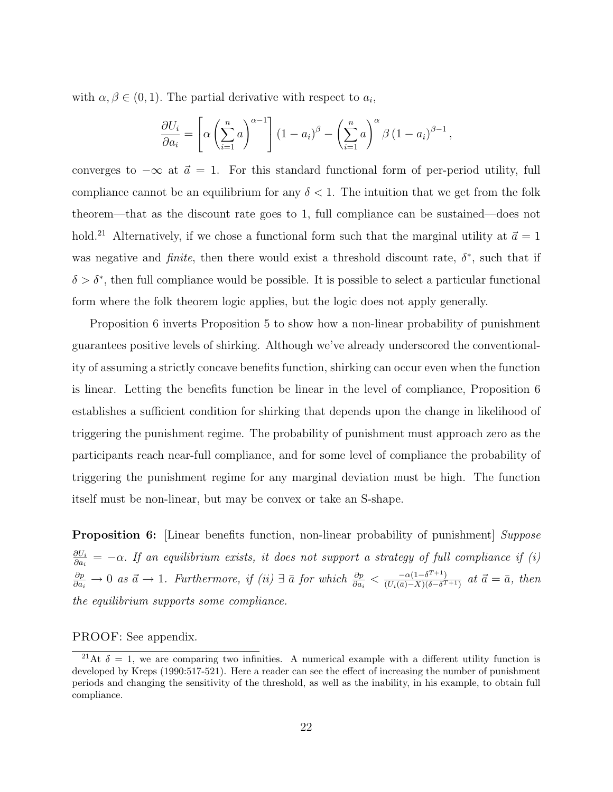with  $\alpha, \beta \in (0, 1)$ . The partial derivative with respect to  $a_i$ ,

$$
\frac{\partial U_i}{\partial a_i} = \left[ \alpha \left( \sum_{i=1}^n a \right)^{\alpha-1} \right] (1-a_i)^{\beta} - \left( \sum_{i=1}^n a \right)^{\alpha} \beta (1-a_i)^{\beta-1},
$$

converges to  $-\infty$  at  $\vec{a} = 1$ . For this standard functional form of per-period utility, full compliance cannot be an equilibrium for any  $\delta < 1$ . The intuition that we get from the folk theorem—that as the discount rate goes to 1, full compliance can be sustained—does not hold.<sup>21</sup> Alternatively, if we chose a functional form such that the marginal utility at  $\vec{a} = 1$ was negative and *finite*, then there would exist a threshold discount rate,  $\delta^*$ , such that if  $\delta > \delta^*$ , then full compliance would be possible. It is possible to select a particular functional form where the folk theorem logic applies, but the logic does not apply generally.

Proposition 6 inverts Proposition 5 to show how a non-linear probability of punishment guarantees positive levels of shirking. Although we've already underscored the conventionality of assuming a strictly concave benefits function, shirking can occur even when the function is linear. Letting the benefits function be linear in the level of compliance, Proposition 6 establishes a sufficient condition for shirking that depends upon the change in likelihood of triggering the punishment regime. The probability of punishment must approach zero as the participants reach near-full compliance, and for some level of compliance the probability of triggering the punishment regime for any marginal deviation must be high. The function itself must be non-linear, but may be convex or take an S-shape.

**Proposition 6:** [Linear benefits function, non-linear probability of punishment] Suppose  $\partial U_i$  $\frac{\partial U_i}{\partial a_i} = -\alpha$ . If an equilibrium exists, it does not support a strategy of full compliance if (i)  $\frac{\partial p}{\partial a_i} \to 0$  as  $\vec{a} \to 1$ . Furthermore, if (ii)  $\exists \bar{a}$  for which  $\frac{\partial p}{\partial a_i} < \frac{-\alpha(1-\delta^{T+1})}{(U_i(\bar{a})-X)(\delta-\delta^T)}$  $\frac{-\alpha(1-\delta^{2n+1})}{(U_i(\bar{a})-X)(\delta-\delta^{T+1})}$  at  $\vec{a} = \bar{a}$ , then the equilibrium supports some compliance.

PROOF: See appendix.

<sup>&</sup>lt;sup>21</sup>At  $\delta = 1$ , we are comparing two infinities. A numerical example with a different utility function is developed by Kreps (1990:517-521). Here a reader can see the effect of increasing the number of punishment periods and changing the sensitivity of the threshold, as well as the inability, in his example, to obtain full compliance.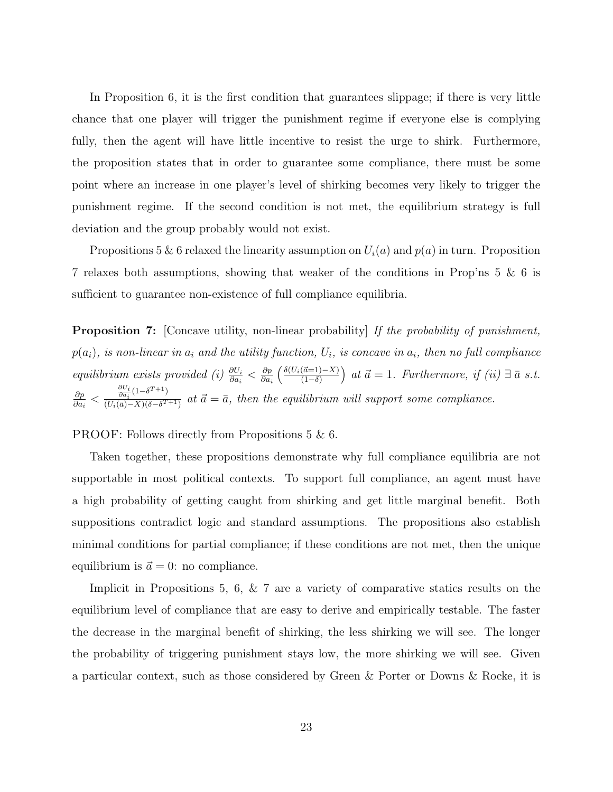In Proposition 6, it is the first condition that guarantees slippage; if there is very little chance that one player will trigger the punishment regime if everyone else is complying fully, then the agent will have little incentive to resist the urge to shirk. Furthermore, the proposition states that in order to guarantee some compliance, there must be some point where an increase in one player's level of shirking becomes very likely to trigger the punishment regime. If the second condition is not met, the equilibrium strategy is full deviation and the group probably would not exist.

Propositions 5 & 6 relaxed the linearity assumption on  $U_i(a)$  and  $p(a)$  in turn. Proposition 7 relaxes both assumptions, showing that weaker of the conditions in Prop'ns 5 & 6 is sufficient to guarantee non-existence of full compliance equilibria.

**Proposition 7:** Concave utility, non-linear probability If the probability of punishment,  $p(a_i)$ , is non-linear in  $a_i$  and the utility function,  $U_i$ , is concave in  $a_i$ , then no full compliance equilibrium exists provided (i)  $\frac{\partial U_i}{\partial a_i} < \frac{\partial p}{\partial a_i}$  $\partial a_i$  $\left(\frac{\delta(U_i(\vec{a}=1)-X)}{\delta(U_i(\vec{a}=1)-X)}\right)$  $(1-\delta)$ at  $\vec{a} = 1$ . Furthermore, if (ii)  $\exists \bar{a}$  s.t. ∂p  $\frac{\partial p}{\partial a_i} <$  $\frac{\partial U_i}{\partial a_i} (1 - \delta^{T+1})$  $\frac{\partial a_i}{(U_i(\bar{a})-X)(\delta-\delta^{T+1})}$  at  $\vec{a}=\bar{a}$ , then the equilibrium will support some compliance.

PROOF: Follows directly from Propositions 5 & 6.

Taken together, these propositions demonstrate why full compliance equilibria are not supportable in most political contexts. To support full compliance, an agent must have a high probability of getting caught from shirking and get little marginal benefit. Both suppositions contradict logic and standard assumptions. The propositions also establish minimal conditions for partial compliance; if these conditions are not met, then the unique equilibrium is  $\vec{a} = 0$ : no compliance.

Implicit in Propositions 5, 6, & 7 are a variety of comparative statics results on the equilibrium level of compliance that are easy to derive and empirically testable. The faster the decrease in the marginal benefit of shirking, the less shirking we will see. The longer the probability of triggering punishment stays low, the more shirking we will see. Given a particular context, such as those considered by Green & Porter or Downs & Rocke, it is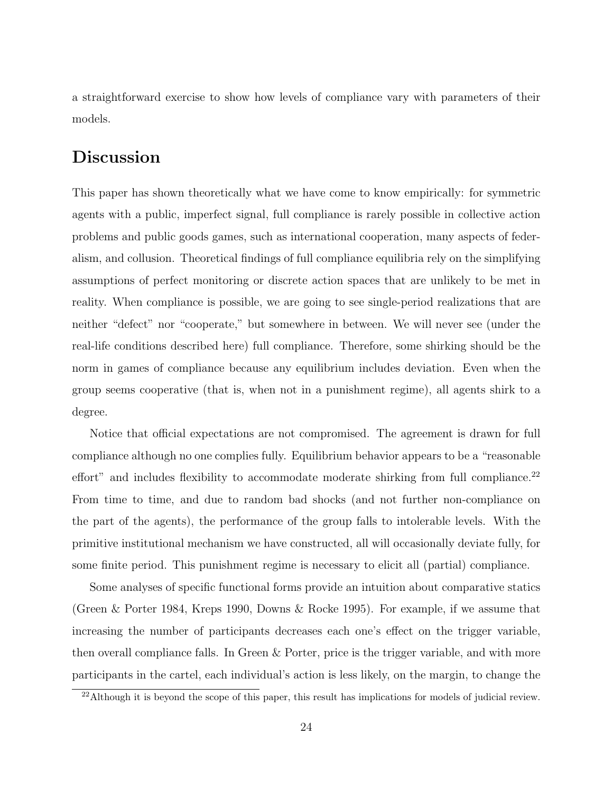a straightforward exercise to show how levels of compliance vary with parameters of their models.

## Discussion

This paper has shown theoretically what we have come to know empirically: for symmetric agents with a public, imperfect signal, full compliance is rarely possible in collective action problems and public goods games, such as international cooperation, many aspects of federalism, and collusion. Theoretical findings of full compliance equilibria rely on the simplifying assumptions of perfect monitoring or discrete action spaces that are unlikely to be met in reality. When compliance is possible, we are going to see single-period realizations that are neither "defect" nor "cooperate," but somewhere in between. We will never see (under the real-life conditions described here) full compliance. Therefore, some shirking should be the norm in games of compliance because any equilibrium includes deviation. Even when the group seems cooperative (that is, when not in a punishment regime), all agents shirk to a degree.

Notice that official expectations are not compromised. The agreement is drawn for full compliance although no one complies fully. Equilibrium behavior appears to be a "reasonable effort" and includes flexibility to accommodate moderate shirking from full compliance. $^{22}$ From time to time, and due to random bad shocks (and not further non-compliance on the part of the agents), the performance of the group falls to intolerable levels. With the primitive institutional mechanism we have constructed, all will occasionally deviate fully, for some finite period. This punishment regime is necessary to elicit all (partial) compliance.

Some analyses of specific functional forms provide an intuition about comparative statics (Green & Porter 1984, Kreps 1990, Downs & Rocke 1995). For example, if we assume that increasing the number of participants decreases each one's effect on the trigger variable, then overall compliance falls. In Green & Porter, price is the trigger variable, and with more participants in the cartel, each individual's action is less likely, on the margin, to change the

<sup>&</sup>lt;sup>22</sup>Although it is beyond the scope of this paper, this result has implications for models of judicial review.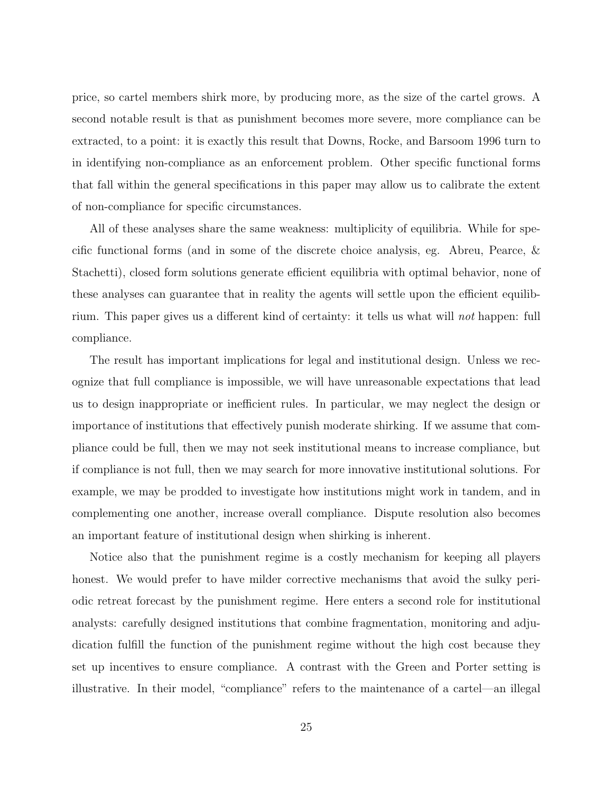price, so cartel members shirk more, by producing more, as the size of the cartel grows. A second notable result is that as punishment becomes more severe, more compliance can be extracted, to a point: it is exactly this result that Downs, Rocke, and Barsoom 1996 turn to in identifying non-compliance as an enforcement problem. Other specific functional forms that fall within the general specifications in this paper may allow us to calibrate the extent of non-compliance for specific circumstances.

All of these analyses share the same weakness: multiplicity of equilibria. While for specific functional forms (and in some of the discrete choice analysis, eg. Abreu, Pearce, & Stachetti), closed form solutions generate efficient equilibria with optimal behavior, none of these analyses can guarantee that in reality the agents will settle upon the efficient equilibrium. This paper gives us a different kind of certainty: it tells us what will not happen: full compliance.

The result has important implications for legal and institutional design. Unless we recognize that full compliance is impossible, we will have unreasonable expectations that lead us to design inappropriate or inefficient rules. In particular, we may neglect the design or importance of institutions that effectively punish moderate shirking. If we assume that compliance could be full, then we may not seek institutional means to increase compliance, but if compliance is not full, then we may search for more innovative institutional solutions. For example, we may be prodded to investigate how institutions might work in tandem, and in complementing one another, increase overall compliance. Dispute resolution also becomes an important feature of institutional design when shirking is inherent.

Notice also that the punishment regime is a costly mechanism for keeping all players honest. We would prefer to have milder corrective mechanisms that avoid the sulky periodic retreat forecast by the punishment regime. Here enters a second role for institutional analysts: carefully designed institutions that combine fragmentation, monitoring and adjudication fulfill the function of the punishment regime without the high cost because they set up incentives to ensure compliance. A contrast with the Green and Porter setting is illustrative. In their model, "compliance" refers to the maintenance of a cartel—an illegal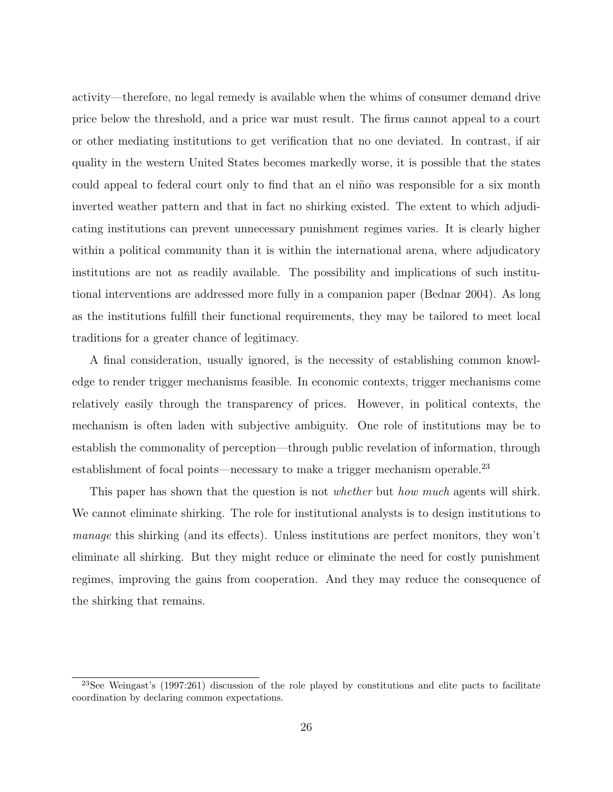activity—therefore, no legal remedy is available when the whims of consumer demand drive price below the threshold, and a price war must result. The firms cannot appeal to a court or other mediating institutions to get verification that no one deviated. In contrast, if air quality in the western United States becomes markedly worse, it is possible that the states could appeal to federal court only to find that an el niño was responsible for a six month inverted weather pattern and that in fact no shirking existed. The extent to which adjudicating institutions can prevent unnecessary punishment regimes varies. It is clearly higher within a political community than it is within the international arena, where adjudicatory institutions are not as readily available. The possibility and implications of such institutional interventions are addressed more fully in a companion paper (Bednar 2004). As long as the institutions fulfill their functional requirements, they may be tailored to meet local traditions for a greater chance of legitimacy.

A final consideration, usually ignored, is the necessity of establishing common knowledge to render trigger mechanisms feasible. In economic contexts, trigger mechanisms come relatively easily through the transparency of prices. However, in political contexts, the mechanism is often laden with subjective ambiguity. One role of institutions may be to establish the commonality of perception—through public revelation of information, through establishment of focal points—necessary to make a trigger mechanism operable.<sup>23</sup>

This paper has shown that the question is not *whether* but *how much* agents will shirk. We cannot eliminate shirking. The role for institutional analysts is to design institutions to manage this shirking (and its effects). Unless institutions are perfect monitors, they won't eliminate all shirking. But they might reduce or eliminate the need for costly punishment regimes, improving the gains from cooperation. And they may reduce the consequence of the shirking that remains.

<sup>23</sup>See Weingast's (1997:261) discussion of the role played by constitutions and elite pacts to facilitate coordination by declaring common expectations.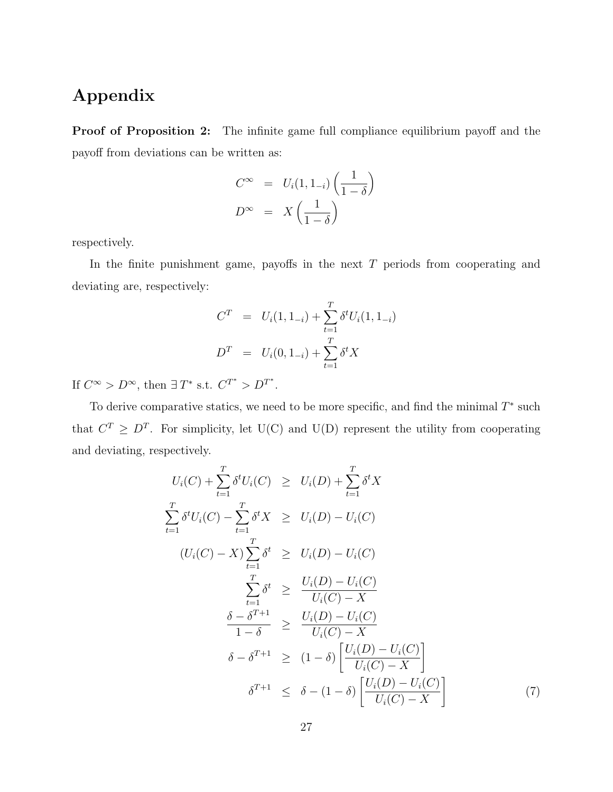# Appendix

Proof of Proposition 2: The infinite game full compliance equilibrium payoff and the payoff from deviations can be written as:

$$
C^{\infty} = U_i(1, 1_{-i})\left(\frac{1}{1-\delta}\right)
$$

$$
D^{\infty} = X\left(\frac{1}{1-\delta}\right)
$$

respectively.

In the finite punishment game, payoffs in the next  $T$  periods from cooperating and deviating are, respectively:

$$
C^{T} = U_{i}(1, 1_{-i}) + \sum_{t=1}^{T} \delta^{t} U_{i}(1, 1_{-i})
$$
  

$$
D^{T} = U_{i}(0, 1_{-i}) + \sum_{t=1}^{T} \delta^{t} X
$$

If  $C^{\infty} > D^{\infty}$ , then  $\exists T^*$  s.t.  $C^{T^*} > D^{T^*}$ .

To derive comparative statics, we need to be more specific, and find the minimal  $T^*$  such that  $C^T \geq D^T$ . For simplicity, let U(C) and U(D) represent the utility from cooperating and deviating, respectively.

$$
U_{i}(C) + \sum_{t=1}^{T} \delta^{t} U_{i}(C) \geq U_{i}(D) + \sum_{t=1}^{T} \delta^{t} X
$$
  
\n
$$
\sum_{t=1}^{T} \delta^{t} U_{i}(C) - \sum_{t=1}^{T} \delta^{t} X \geq U_{i}(D) - U_{i}(C)
$$
  
\n
$$
(U_{i}(C) - X) \sum_{t=1}^{T} \delta^{t} \geq U_{i}(D) - U_{i}(C)
$$
  
\n
$$
\sum_{t=1}^{T} \delta^{t} \geq \frac{U_{i}(D) - U_{i}(C)}{U_{i}(C) - X}
$$
  
\n
$$
\frac{\delta - \delta^{T+1}}{1 - \delta} \geq \frac{U_{i}(D) - U_{i}(C)}{U_{i}(C) - X}
$$
  
\n
$$
\delta - \delta^{T+1} \geq (1 - \delta) \left[ \frac{U_{i}(D) - U_{i}(C)}{U_{i}(C) - X} \right]
$$
  
\n
$$
\delta^{T+1} \leq \delta - (1 - \delta) \left[ \frac{U_{i}(D) - U_{i}(C)}{U_{i}(C) - X} \right]
$$
  
\n(7)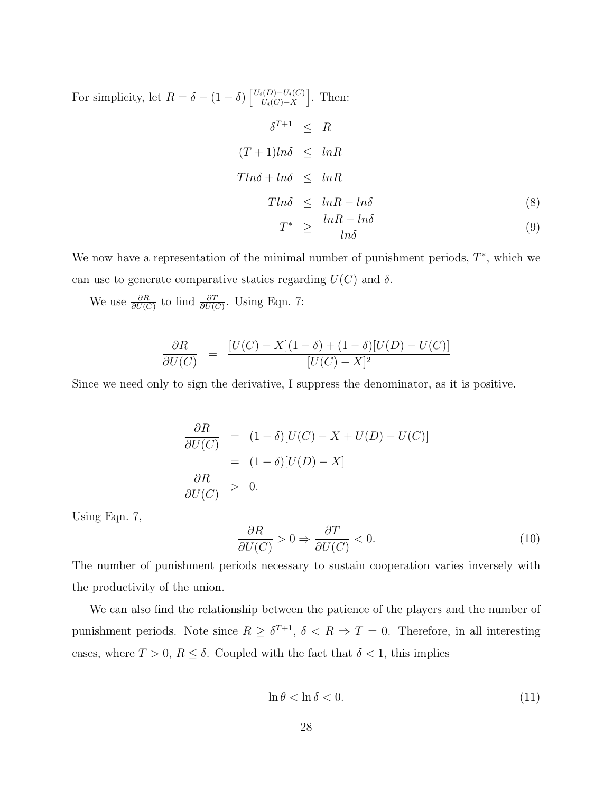For simplicity, let  $R = \delta - (1 - \delta) \left[ \frac{U_i(D) - U_i(C)}{U_i(C) - X} \right]$  $U_i(C)-X$ i . Then:

$$
\delta^{T+1} \leq R
$$
  
\n
$$
(T+1)ln\delta \leq lnR
$$
  
\n
$$
Tln\delta + ln\delta \leq lnR
$$
  
\n
$$
Tln\delta \leq lnR - ln\delta
$$
  
\n
$$
T^* \geq \frac{lnR - ln\delta}{ln\delta}
$$
  
\n(9)

We now have a representation of the minimal number of punishment periods,  $T^*$ , which we can use to generate comparative statics regarding  $U(C)$  and  $\delta$ .

We use  $\frac{\partial R}{\partial U(C)}$  to find  $\frac{\partial T}{\partial U(C)}$ . Using Eqn. 7:

$$
\frac{\partial R}{\partial U(C)} = \frac{[U(C) - X](1 - \delta) + (1 - \delta)[U(D) - U(C)]}{[U(C) - X]^2}
$$

Since we need only to sign the derivative, I suppress the denominator, as it is positive.

$$
\frac{\partial R}{\partial U(C)} = (1 - \delta)[U(C) - X + U(D) - U(C)]
$$
  
=  $(1 - \delta)[U(D) - X]$   

$$
\frac{\partial R}{\partial U(C)} > 0.
$$

Using Eqn. 7,

$$
\frac{\partial R}{\partial U(C)} > 0 \Rightarrow \frac{\partial T}{\partial U(C)} < 0.
$$
\n(10)

The number of punishment periods necessary to sustain cooperation varies inversely with the productivity of the union.

We can also find the relationship between the patience of the players and the number of punishment periods. Note since  $R \geq \delta^{T+1}$ ,  $\delta < R \Rightarrow T = 0$ . Therefore, in all interesting cases, where  $T > 0$ ,  $R \le \delta$ . Coupled with the fact that  $\delta < 1$ , this implies

$$
\ln \theta < \ln \delta < 0. \tag{11}
$$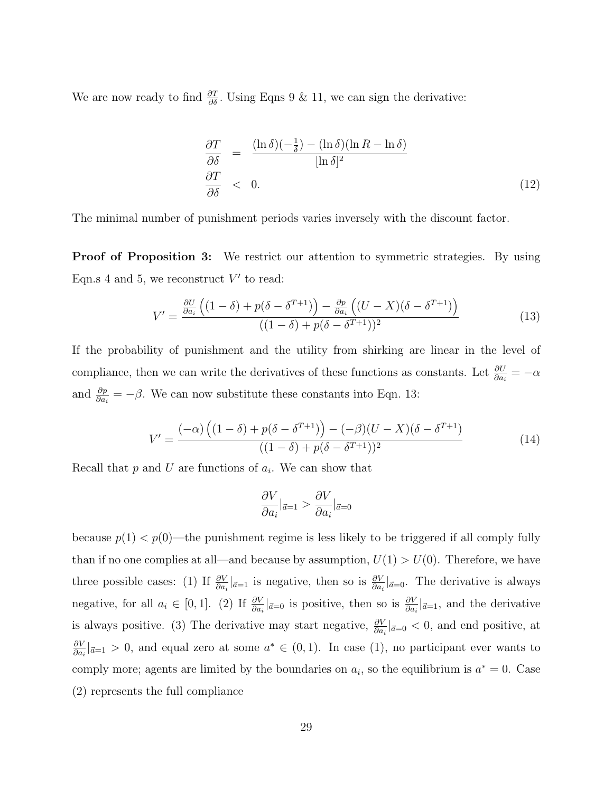We are now ready to find  $\frac{\partial T}{\partial \delta}$ . Using Eqns 9 & 11, we can sign the derivative:

$$
\frac{\partial T}{\partial \delta} = \frac{(\ln \delta)(-\frac{1}{\delta}) - (\ln \delta)(\ln R - \ln \delta)}{[\ln \delta]^2}
$$
\n
$$
\frac{\partial T}{\partial \delta} < 0.
$$
\n(12)

The minimal number of punishment periods varies inversely with the discount factor.

**Proof of Proposition 3:** We restrict our attention to symmetric strategies. By using Eqn.s 4 and 5, we reconstruct  $V'$  to read:

$$
V' = \frac{\frac{\partial U}{\partial a_i} \left( (1 - \delta) + p(\delta - \delta^{T+1}) \right) - \frac{\partial p}{\partial a_i} \left( (U - X)(\delta - \delta^{T+1}) \right)}{((1 - \delta) + p(\delta - \delta^{T+1}))^2}
$$
(13)

If the probability of punishment and the utility from shirking are linear in the level of compliance, then we can write the derivatives of these functions as constants. Let  $\frac{\partial U}{\partial a_i} = -\alpha$ and  $\frac{\partial p}{\partial a_i} = -\beta$ . We can now substitute these constants into Eqn. 13:

$$
V' = \frac{(-\alpha)\left((1-\delta) + p(\delta - \delta^{T+1})\right) - (-\beta)(U - X)(\delta - \delta^{T+1})}{((1-\delta) + p(\delta - \delta^{T+1}))^2}
$$
(14)

Recall that  $p$  and  $U$  are functions of  $a_i$ . We can show that

$$
\frac{\partial V}{\partial a_i}|_{\vec{a}=1} > \frac{\partial V}{\partial a_i}|_{\vec{a}=0}
$$

because  $p(1) < p(0)$ —the punishment regime is less likely to be triggered if all comply fully than if no one complies at all—and because by assumption,  $U(1) > U(0)$ . Therefore, we have three possible cases: (1) If  $\frac{\partial V}{\partial a_i}|_{\vec{a}=1}$  is negative, then so is  $\frac{\partial V}{\partial a_i}|_{\vec{a}=0}$ . The derivative is always negative, for all  $a_i \in [0,1]$ . (2) If  $\frac{\partial V}{\partial a_i}|_{\vec{a}=0}$  is positive, then so is  $\frac{\partial V}{\partial a_i}|_{\vec{a}=1}$ , and the derivative is always positive. (3) The derivative may start negative,  $\frac{\partial V}{\partial a_i}|_{\vec{a}=0} < 0$ , and end positive, at ∂V  $\frac{\partial V}{\partial a_i}|_{\vec{a}=1} > 0$ , and equal zero at some  $a^* \in (0,1)$ . In case (1), no participant ever wants to comply more; agents are limited by the boundaries on  $a_i$ , so the equilibrium is  $a^* = 0$ . Case (2) represents the full compliance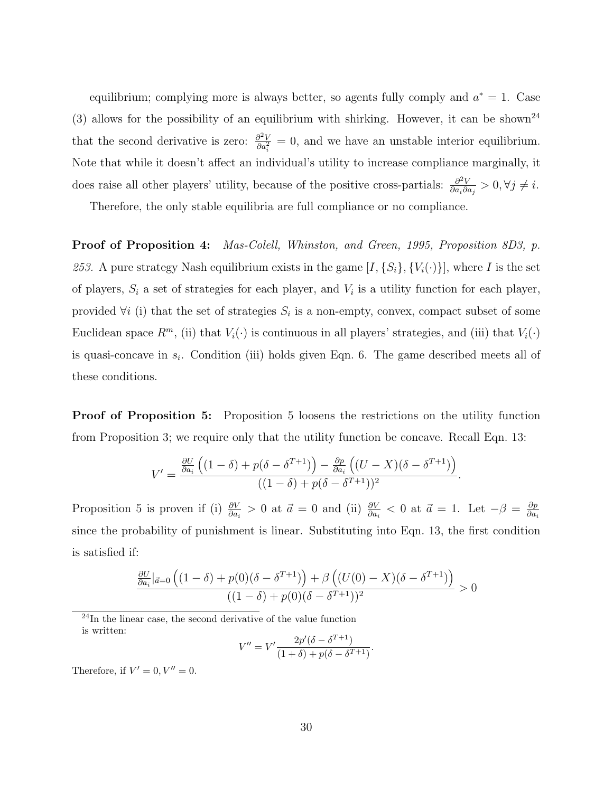equilibrium; complying more is always better, so agents fully comply and  $a^* = 1$ . Case (3) allows for the possibility of an equilibrium with shirking. However, it can be shown<sup>24</sup> that the second derivative is zero:  $\frac{\partial^2 V}{\partial q^2}$  $\frac{\partial^2 V}{\partial a_i^2} = 0$ , and we have an unstable interior equilibrium. Note that while it doesn't affect an individual's utility to increase compliance marginally, it does raise all other players' utility, because of the positive cross-partials:  $\frac{\partial^2 V}{\partial q \cdot \partial q}$  $\frac{\partial^2 V}{\partial a_i \partial a_j} > 0, \forall j \neq i.$ 

Therefore, the only stable equilibria are full compliance or no compliance.

Proof of Proposition 4: Mas-Colell, Whinston, and Green, 1995, Proposition 8D3, p. 253. A pure strategy Nash equilibrium exists in the game  $[I, {S_i}, {V_i(\cdot)}]$ , where I is the set of players,  $S_i$  a set of strategies for each player, and  $V_i$  is a utility function for each player, provided  $\forall i$  (i) that the set of strategies  $S_i$  is a non-empty, convex, compact subset of some Euclidean space  $R^m$ , (ii) that  $V_i(\cdot)$  is continuous in all players' strategies, and (iii) that  $V_i(\cdot)$ is quasi-concave in  $s_i$ . Condition (iii) holds given Eqn. 6. The game described meets all of these conditions.

Proof of Proposition 5: Proposition 5 loosens the restrictions on the utility function from Proposition 3; we require only that the utility function be concave. Recall Eqn. 13:

$$
V' = \frac{\frac{\partial U}{\partial a_i} \left( (1 - \delta) + p(\delta - \delta^{T+1}) \right) - \frac{\partial p}{\partial a_i} \left( (U - X)(\delta - \delta^{T+1}) \right)}{((1 - \delta) + p(\delta - \delta^{T+1}))^2}
$$

.

Proposition 5 is proven if (i)  $\frac{\partial V}{\partial a_i} > 0$  at  $\vec{a} = 0$  and (ii)  $\frac{\partial V}{\partial a_i} < 0$  at  $\vec{a} = 1$ . Let  $-\beta = \frac{\partial p}{\partial a_i}$  $\partial a_i$ since the probability of punishment is linear. Substituting into Eqn. 13, the first condition is satisfied if:

$$
\frac{\partial U}{\partial a_i}|_{\vec{a}=0} \left( (1-\delta) + p(0)(\delta - \delta^{T+1}) \right) + \beta \left( (U(0) - X)(\delta - \delta^{T+1}) \right) \tag{1-\delta} > 0
$$

 $^{24}$ In the linear case, the second derivative of the value function is written:

$$
V'' = V' \frac{2p'(\delta - \delta^{T+1})}{(1+\delta) + p(\delta - \delta^{T+1})}.
$$

Therefore, if  $V' = 0, V'' = 0$ .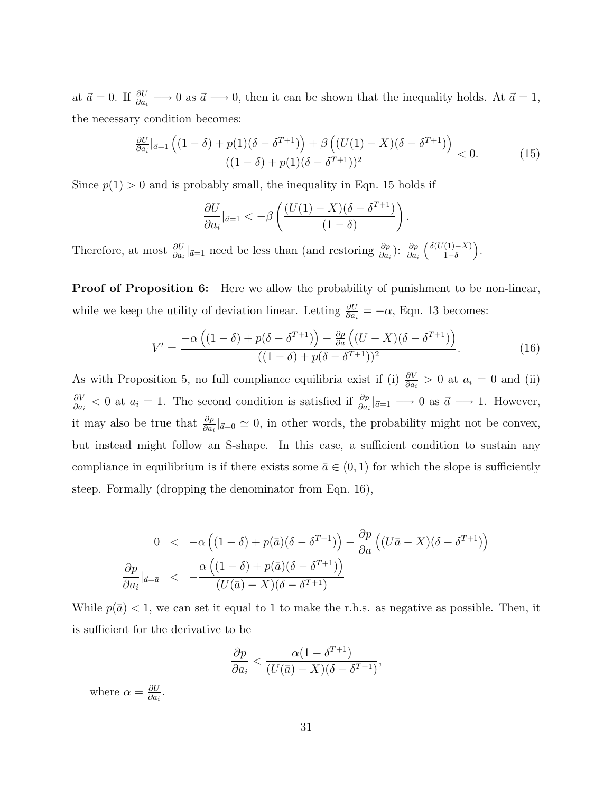at  $\vec{a} = 0$ . If  $\frac{\partial U}{\partial a_i} \longrightarrow 0$  as  $\vec{a} \longrightarrow 0$ , then it can be shown that the inequality holds. At  $\vec{a} = 1$ , the necessary condition becomes:

$$
\frac{\frac{\partial U}{\partial a_i}|_{\vec{a}=1} \left( (1-\delta) + p(1)(\delta - \delta^{T+1}) \right) + \beta \left( (U(1) - X)(\delta - \delta^{T+1}) \right)}{((1-\delta) + p(1)(\delta - \delta^{T+1}))^2} < 0.
$$
\n(15)

.

Since  $p(1) > 0$  and is probably small, the inequality in Eqn. 15 holds if

$$
\frac{\partial U}{\partial a_i}|_{\vec{a}=1} < -\beta \left( \frac{(U(1)-X)(\delta - \delta^{T+1})}{(1-\delta)} \right)
$$

Therefore, at most  $\frac{\partial U}{\partial a_i}\big|_{\vec{a}=1}$  need be less than (and restoring  $\frac{\partial p}{\partial a_i}$ ):  $\frac{\partial p}{\partial a_i}$  $\int$   $\delta$ (U(1)−X)  $1-\delta$ .

**Proof of Proposition 6:** Here we allow the probability of punishment to be non-linear, while we keep the utility of deviation linear. Letting  $\frac{\partial U}{\partial a_i} = -\alpha$ , Eqn. 13 becomes:

$$
V' = \frac{-\alpha\left((1-\delta) + p(\delta - \delta^{T+1})\right) - \frac{\partial p}{\partial a}\left((U - X)(\delta - \delta^{T+1})\right)}{((1-\delta) + p(\delta - \delta^{T+1}))^2}.
$$
 (16)

As with Proposition 5, no full compliance equilibria exist if (i)  $\frac{\partial V}{\partial a_i} > 0$  at  $a_i = 0$  and (ii) ∂V  $\frac{\partial V}{\partial a_i} < 0$  at  $a_i = 1$ . The second condition is satisfied if  $\frac{\partial p}{\partial a_i}|_{\vec{a}=1} \longrightarrow 0$  as  $\vec{a} \longrightarrow 1$ . However, it may also be true that  $\frac{\partial p}{\partial a_i}|_{\vec{a}=0} \simeq 0$ , in other words, the probability might not be convex, but instead might follow an S-shape. In this case, a sufficient condition to sustain any compliance in equilibrium is if there exists some  $\bar{a} \in (0,1)$  for which the slope is sufficiently steep. Formally (dropping the denominator from Eqn. 16),

$$
0 < -\alpha \left( (1 - \delta) + p(\bar{a})(\delta - \delta^{T+1}) \right) - \frac{\partial p}{\partial a} \left( (U\bar{a} - X)(\delta - \delta^{T+1}) \right)
$$
\n
$$
\frac{\partial p}{\partial a_i}|_{\bar{a} = \bar{a}} < -\frac{\alpha \left( (1 - \delta) + p(\bar{a})(\delta - \delta^{T+1}) \right)}{(U(\bar{a}) - X)(\delta - \delta^{T+1})}
$$

While  $p(\bar{a}) < 1$ , we can set it equal to 1 to make the r.h.s. as negative as possible. Then, it is sufficient for the derivative to be

$$
\frac{\partial p}{\partial a_i} < \frac{\alpha (1 - \delta^{T+1})}{(U(\bar{a}) - X)(\delta - \delta^{T+1})},
$$

where  $\alpha = \frac{\partial U}{\partial q}$  $\frac{\partial U}{\partial a_i}$ .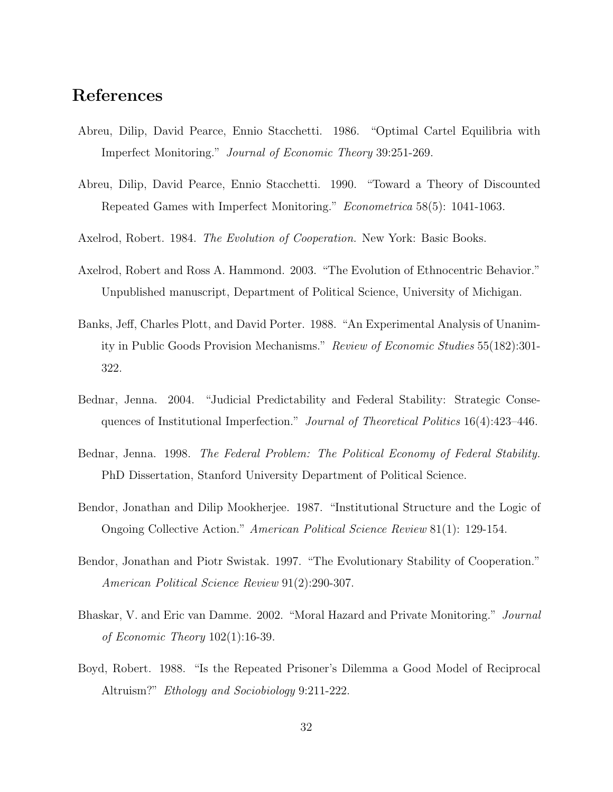## References

- Abreu, Dilip, David Pearce, Ennio Stacchetti. 1986. "Optimal Cartel Equilibria with Imperfect Monitoring." Journal of Economic Theory 39:251-269.
- Abreu, Dilip, David Pearce, Ennio Stacchetti. 1990. "Toward a Theory of Discounted Repeated Games with Imperfect Monitoring." Econometrica 58(5): 1041-1063.
- Axelrod, Robert. 1984. The Evolution of Cooperation. New York: Basic Books.
- Axelrod, Robert and Ross A. Hammond. 2003. "The Evolution of Ethnocentric Behavior." Unpublished manuscript, Department of Political Science, University of Michigan.
- Banks, Jeff, Charles Plott, and David Porter. 1988. "An Experimental Analysis of Unanimity in Public Goods Provision Mechanisms." Review of Economic Studies 55(182):301- 322.
- Bednar, Jenna. 2004. "Judicial Predictability and Federal Stability: Strategic Consequences of Institutional Imperfection." Journal of Theoretical Politics 16(4):423–446.
- Bednar, Jenna. 1998. The Federal Problem: The Political Economy of Federal Stability. PhD Dissertation, Stanford University Department of Political Science.
- Bendor, Jonathan and Dilip Mookherjee. 1987. "Institutional Structure and the Logic of Ongoing Collective Action." American Political Science Review 81(1): 129-154.
- Bendor, Jonathan and Piotr Swistak. 1997. "The Evolutionary Stability of Cooperation." American Political Science Review 91(2):290-307.
- Bhaskar, V. and Eric van Damme. 2002. "Moral Hazard and Private Monitoring." Journal of Economic Theory  $102(1)$ :16-39.
- Boyd, Robert. 1988. "Is the Repeated Prisoner's Dilemma a Good Model of Reciprocal Altruism?" Ethology and Sociobiology 9:211-222.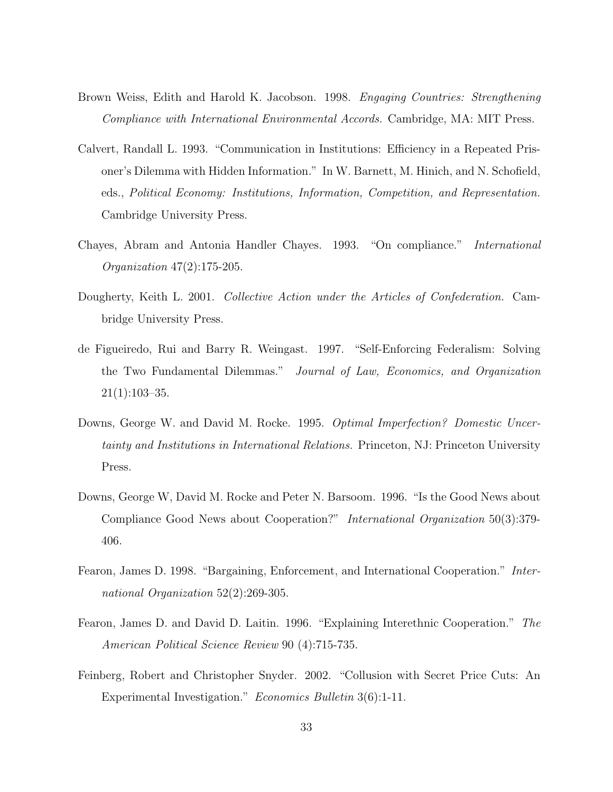- Brown Weiss, Edith and Harold K. Jacobson. 1998. Engaging Countries: Strengthening Compliance with International Environmental Accords. Cambridge, MA: MIT Press.
- Calvert, Randall L. 1993. "Communication in Institutions: Efficiency in a Repeated Prisoner's Dilemma with Hidden Information." In W. Barnett, M. Hinich, and N. Schofield, eds., Political Economy: Institutions, Information, Competition, and Representation. Cambridge University Press.
- Chayes, Abram and Antonia Handler Chayes. 1993. "On compliance." International Organization 47(2):175-205.
- Dougherty, Keith L. 2001. Collective Action under the Articles of Confederation. Cambridge University Press.
- de Figueiredo, Rui and Barry R. Weingast. 1997. "Self-Enforcing Federalism: Solving the Two Fundamental Dilemmas." Journal of Law, Economics, and Organization 21(1):103–35.
- Downs, George W. and David M. Rocke. 1995. Optimal Imperfection? Domestic Uncertainty and Institutions in International Relations. Princeton, NJ: Princeton University Press.
- Downs, George W, David M. Rocke and Peter N. Barsoom. 1996. "Is the Good News about Compliance Good News about Cooperation?" International Organization 50(3):379- 406.
- Fearon, James D. 1998. "Bargaining, Enforcement, and International Cooperation." International Organization 52(2):269-305.
- Fearon, James D. and David D. Laitin. 1996. "Explaining Interethnic Cooperation." The American Political Science Review 90 (4):715-735.
- Feinberg, Robert and Christopher Snyder. 2002. "Collusion with Secret Price Cuts: An Experimental Investigation." Economics Bulletin 3(6):1-11.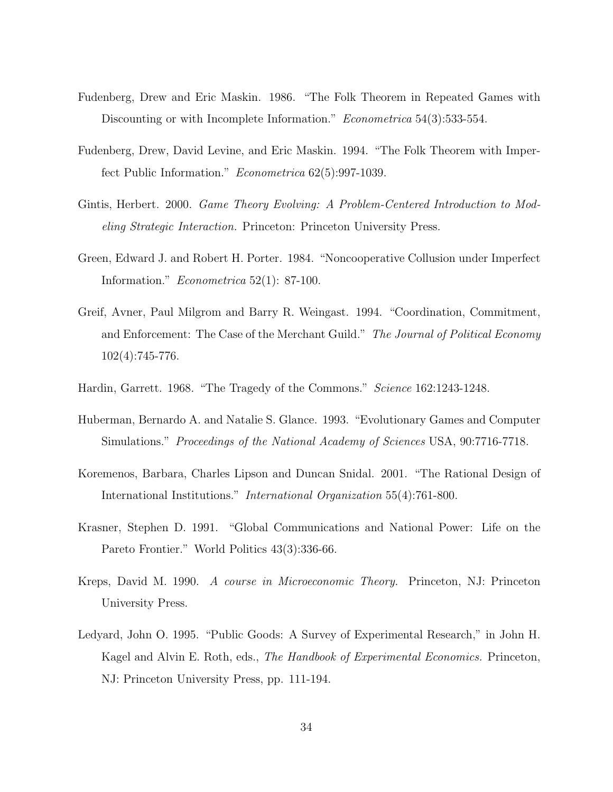- Fudenberg, Drew and Eric Maskin. 1986. "The Folk Theorem in Repeated Games with Discounting or with Incomplete Information." *Econometrica* 54(3):533-554.
- Fudenberg, Drew, David Levine, and Eric Maskin. 1994. "The Folk Theorem with Imperfect Public Information." Econometrica 62(5):997-1039.
- Gintis, Herbert. 2000. Game Theory Evolving: A Problem-Centered Introduction to Modeling Strategic Interaction. Princeton: Princeton University Press.
- Green, Edward J. and Robert H. Porter. 1984. "Noncooperative Collusion under Imperfect Information." Econometrica 52(1): 87-100.
- Greif, Avner, Paul Milgrom and Barry R. Weingast. 1994. "Coordination, Commitment, and Enforcement: The Case of the Merchant Guild." The Journal of Political Economy 102(4):745-776.
- Hardin, Garrett. 1968. "The Tragedy of the Commons." Science 162:1243-1248.
- Huberman, Bernardo A. and Natalie S. Glance. 1993. "Evolutionary Games and Computer Simulations." Proceedings of the National Academy of Sciences USA, 90:7716-7718.
- Koremenos, Barbara, Charles Lipson and Duncan Snidal. 2001. "The Rational Design of International Institutions." International Organization 55(4):761-800.
- Krasner, Stephen D. 1991. "Global Communications and National Power: Life on the Pareto Frontier." World Politics 43(3):336-66.
- Kreps, David M. 1990. A course in Microeconomic Theory. Princeton, NJ: Princeton University Press.
- Ledyard, John O. 1995. "Public Goods: A Survey of Experimental Research," in John H. Kagel and Alvin E. Roth, eds., *The Handbook of Experimental Economics*. Princeton, NJ: Princeton University Press, pp. 111-194.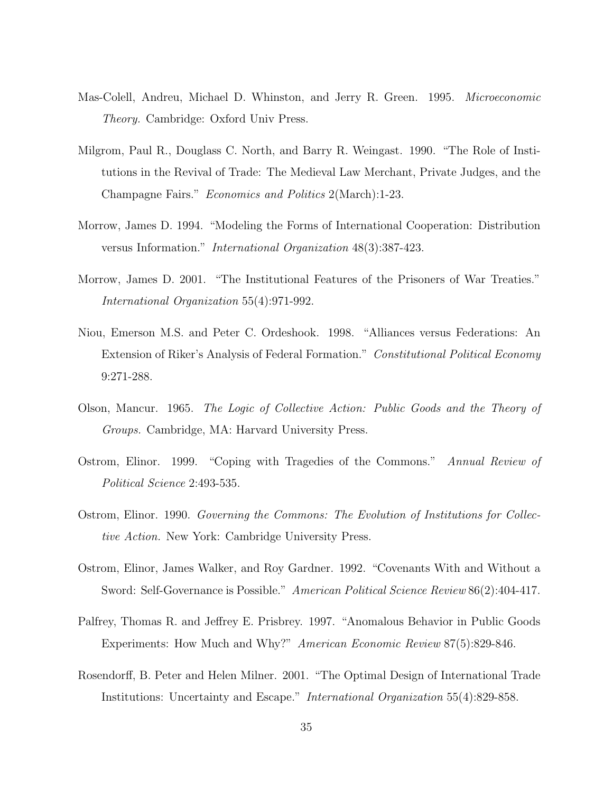- Mas-Colell, Andreu, Michael D. Whinston, and Jerry R. Green. 1995. Microeconomic Theory. Cambridge: Oxford Univ Press.
- Milgrom, Paul R., Douglass C. North, and Barry R. Weingast. 1990. "The Role of Institutions in the Revival of Trade: The Medieval Law Merchant, Private Judges, and the Champagne Fairs." Economics and Politics 2(March):1-23.
- Morrow, James D. 1994. "Modeling the Forms of International Cooperation: Distribution versus Information." International Organization 48(3):387-423.
- Morrow, James D. 2001. "The Institutional Features of the Prisoners of War Treaties." International Organization 55(4):971-992.
- Niou, Emerson M.S. and Peter C. Ordeshook. 1998. "Alliances versus Federations: An Extension of Riker's Analysis of Federal Formation." Constitutional Political Economy 9:271-288.
- Olson, Mancur. 1965. The Logic of Collective Action: Public Goods and the Theory of Groups. Cambridge, MA: Harvard University Press.
- Ostrom, Elinor. 1999. "Coping with Tragedies of the Commons." Annual Review of Political Science 2:493-535.
- Ostrom, Elinor. 1990. Governing the Commons: The Evolution of Institutions for Collective Action. New York: Cambridge University Press.
- Ostrom, Elinor, James Walker, and Roy Gardner. 1992. "Covenants With and Without a Sword: Self-Governance is Possible." American Political Science Review 86(2):404-417.
- Palfrey, Thomas R. and Jeffrey E. Prisbrey. 1997. "Anomalous Behavior in Public Goods Experiments: How Much and Why?" American Economic Review 87(5):829-846.
- Rosendorff, B. Peter and Helen Milner. 2001. "The Optimal Design of International Trade Institutions: Uncertainty and Escape." International Organization 55(4):829-858.